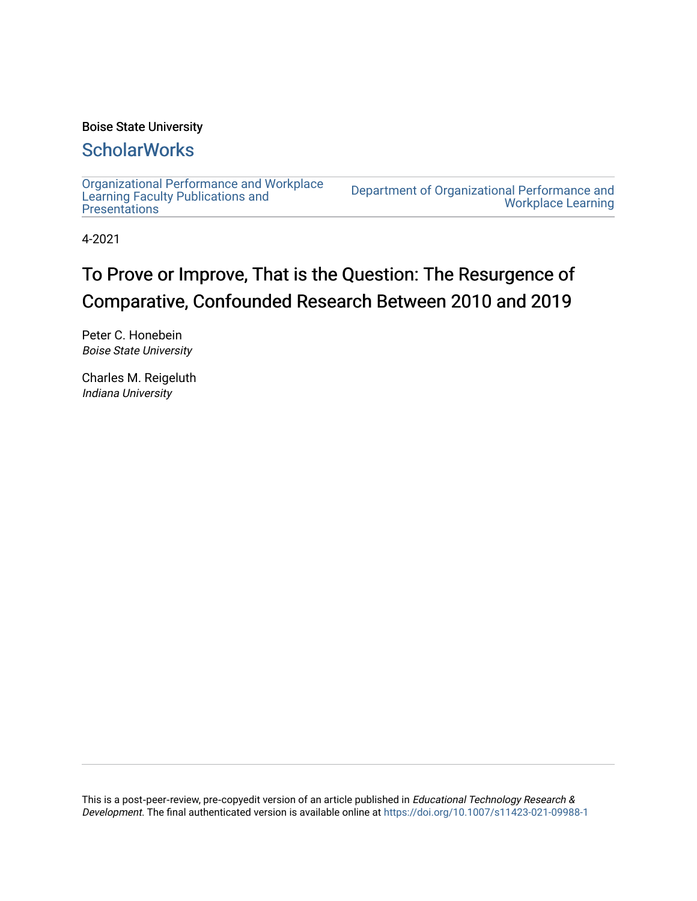## Boise State University

## **ScholarWorks**

[Organizational Performance and Workplace](https://scholarworks.boisestate.edu/ipt_facpubs) [Learning Faculty Publications and](https://scholarworks.boisestate.edu/ipt_facpubs)  **Presentations** 

[Department of Organizational Performance and](https://scholarworks.boisestate.edu/opwl)  [Workplace Learning](https://scholarworks.boisestate.edu/opwl) 

4-2021

# To Prove or Improve, That is the Question: The Resurgence of Comparative, Confounded Research Between 2010 and 2019

Peter C. Honebein Boise State University

Charles M. Reigeluth Indiana University

This is a post-peer-review, pre-copyedit version of an article published in Educational Technology Research & Development. The final authenticated version is available online at<https://doi.org/10.1007/s11423-021-09988-1>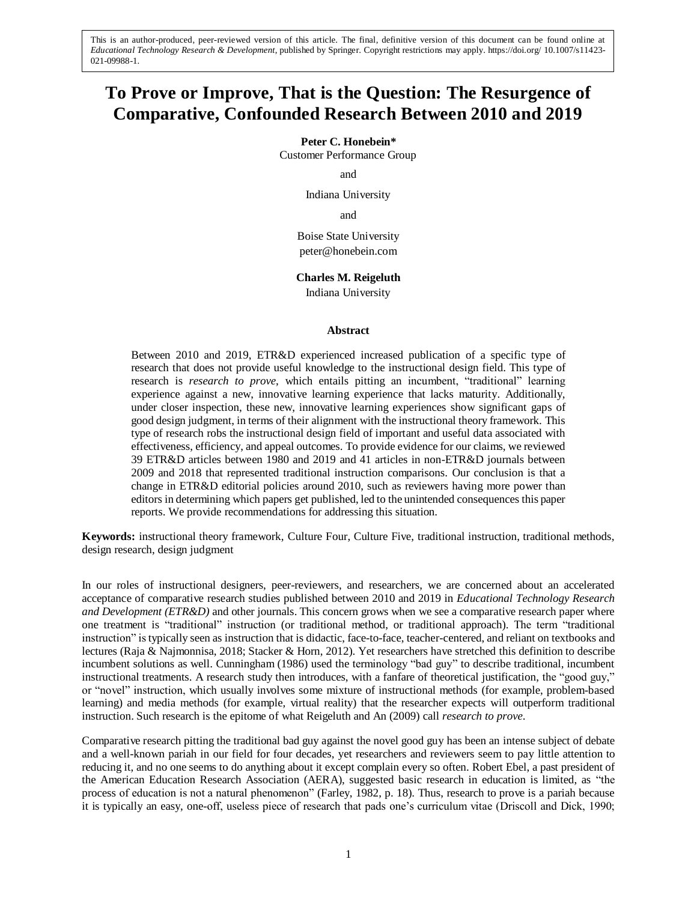## **To Prove or Improve, That is the Question: The Resurgence of Comparative, Confounded Research Between 2010 and 2019**

**Peter C. Honebein\*** 

Customer Performance Group

and

Indiana University

and

Boise State University peter@honebein.com

**Charles M. Reigeluth**

Indiana University

#### **Abstract**

Between 2010 and 2019, ETR&D experienced increased publication of a specific type of research that does not provide useful knowledge to the instructional design field. This type of research is *research to prove*, which entails pitting an incumbent, "traditional" learning experience against a new, innovative learning experience that lacks maturity. Additionally, under closer inspection, these new, innovative learning experiences show significant gaps of good design judgment, in terms of their alignment with the instructional theory framework. This type of research robs the instructional design field of important and useful data associated with effectiveness, efficiency, and appeal outcomes. To provide evidence for our claims, we reviewed 39 ETR&D articles between 1980 and 2019 and 41 articles in non-ETR&D journals between 2009 and 2018 that represented traditional instruction comparisons. Our conclusion is that a change in ETR&D editorial policies around 2010, such as reviewers having more power than editors in determining which papers get published, led to the unintended consequences this paper reports. We provide recommendations for addressing this situation.

**Keywords:** instructional theory framework, Culture Four, Culture Five, traditional instruction, traditional methods, design research, design judgment

In our roles of instructional designers, peer-reviewers, and researchers, we are concerned about an accelerated acceptance of comparative research studies published between 2010 and 2019 in *Educational Technology Research and Development (ETR&D)* and other journals. This concern grows when we see a comparative research paper where one treatment is "traditional" instruction (or traditional method, or traditional approach). The term "traditional instruction" istypically seen as instruction that is didactic, face-to-face, teacher-centered, and reliant on textbooks and lectures (Raja & Najmonnisa, 2018; Stacker & Horn, 2012). Yet researchers have stretched this definition to describe incumbent solutions as well. Cunningham (1986) used the terminology "bad guy" to describe traditional, incumbent instructional treatments. A research study then introduces, with a fanfare of theoretical justification, the "good guy," or "novel" instruction, which usually involves some mixture of instructional methods (for example, problem-based learning) and media methods (for example, virtual reality) that the researcher expects will outperform traditional instruction. Such research is the epitome of what Reigeluth and An (2009) call *research to prove*.

Comparative research pitting the traditional bad guy against the novel good guy has been an intense subject of debate and a well-known pariah in our field for four decades, yet researchers and reviewers seem to pay little attention to reducing it, and no one seems to do anything about it except complain every so often. Robert Ebel, a past president of the American Education Research Association (AERA), suggested basic research in education is limited, as "the process of education is not a natural phenomenon" (Farley, 1982, p. 18). Thus, research to prove is a pariah because it is typically an easy, one-off, useless piece of research that pads one's curriculum vitae (Driscoll and Dick, 1990;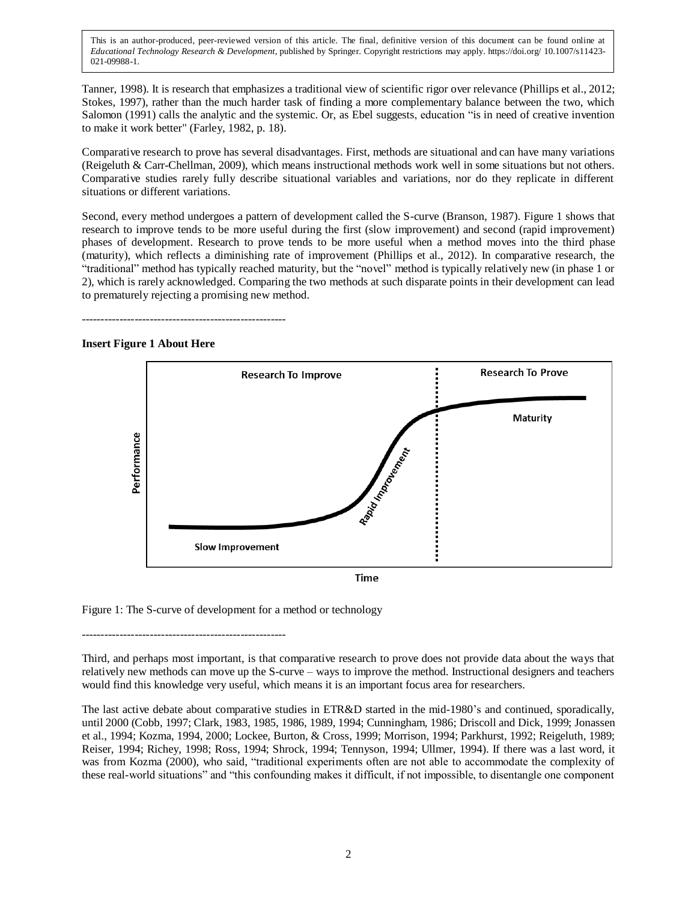Tanner, 1998). It is research that emphasizes a traditional view of scientific rigor over relevance (Phillips et al., 2012; Stokes, 1997), rather than the much harder task of finding a more complementary balance between the two, which Salomon (1991) calls the analytic and the systemic. Or, as Ebel suggests, education "is in need of creative invention to make it work better" (Farley, 1982, p. 18).

Comparative research to prove has several disadvantages. First, methods are situational and can have many variations (Reigeluth & Carr-Chellman, 2009), which means instructional methods work well in some situations but not others. Comparative studies rarely fully describe situational variables and variations, nor do they replicate in different situations or different variations.

Second, every method undergoes a pattern of development called the S-curve (Branson, 1987). Figure 1 shows that research to improve tends to be more useful during the first (slow improvement) and second (rapid improvement) phases of development. Research to prove tends to be more useful when a method moves into the third phase (maturity), which reflects a diminishing rate of improvement (Phillips et al., 2012). In comparative research, the "traditional" method has typically reached maturity, but the "novel" method is typically relatively new (in phase 1 or 2), which is rarely acknowledged. Comparing the two methods at such disparate points in their development can lead to prematurely rejecting a promising new method.

------------------------------------------------------

## **Insert Figure 1 About Here**



**Time** 

Figure 1: The S-curve of development for a method or technology

------------------------------------------------------

Third, and perhaps most important, is that comparative research to prove does not provide data about the ways that relatively new methods can move up the S-curve – ways to improve the method. Instructional designers and teachers would find this knowledge very useful, which means it is an important focus area for researchers.

The last active debate about comparative studies in ETR&D started in the mid-1980's and continued, sporadically, until 2000 (Cobb, 1997; Clark, 1983, 1985, 1986, 1989, 1994; Cunningham, 1986; Driscoll and Dick, 1999; Jonassen et al., 1994; Kozma, 1994, 2000; Lockee, Burton, & Cross, 1999; Morrison, 1994; Parkhurst, 1992; Reigeluth, 1989; Reiser, 1994; Richey, 1998; Ross, 1994; Shrock, 1994; Tennyson, 1994; Ullmer, 1994). If there was a last word, it was from Kozma (2000), who said, "traditional experiments often are not able to accommodate the complexity of these real-world situations" and "this confounding makes it difficult, if not impossible, to disentangle one component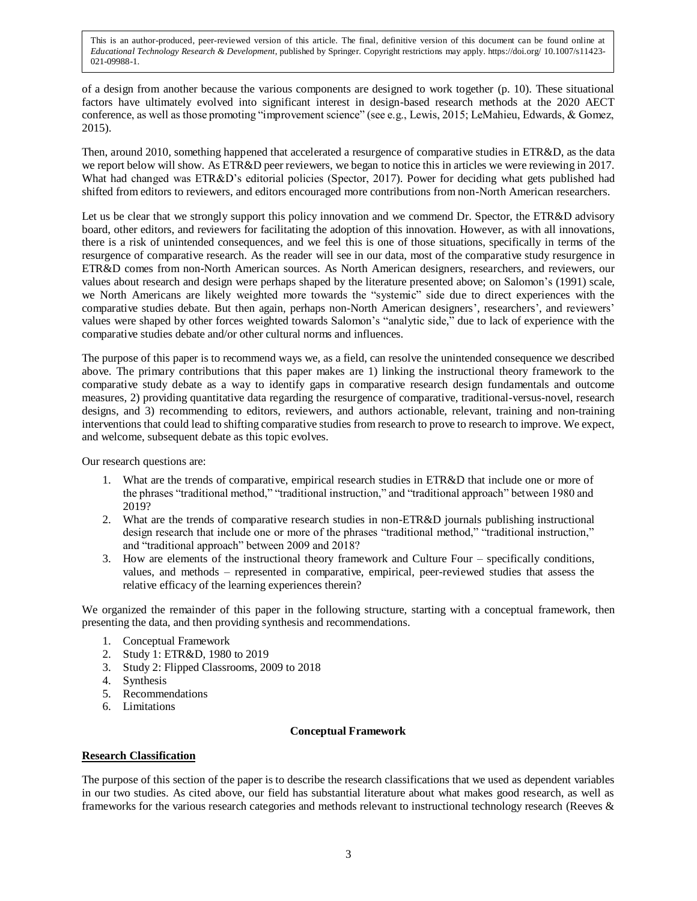of a design from another because the various components are designed to work together (p. 10). These situational factors have ultimately evolved into significant interest in design-based research methods at the 2020 AECT conference, as well as those promoting "improvement science" (see e.g., Lewis, 2015; LeMahieu, Edwards, & Gomez, 2015).

Then, around 2010, something happened that accelerated a resurgence of comparative studies in ETR&D, as the data we report below will show. As ETR&D peer reviewers, we began to notice this in articles we were reviewing in 2017. What had changed was ETR&D's editorial policies (Spector, 2017). Power for deciding what gets published had shifted from editors to reviewers, and editors encouraged more contributions from non-North American researchers.

Let us be clear that we strongly support this policy innovation and we commend Dr. Spector, the ETR&D advisory board, other editors, and reviewers for facilitating the adoption of this innovation. However, as with all innovations, there is a risk of unintended consequences, and we feel this is one of those situations, specifically in terms of the resurgence of comparative research. As the reader will see in our data, most of the comparative study resurgence in ETR&D comes from non-North American sources. As North American designers, researchers, and reviewers, our values about research and design were perhaps shaped by the literature presented above; on Salomon's (1991) scale, we North Americans are likely weighted more towards the "systemic" side due to direct experiences with the comparative studies debate. But then again, perhaps non-North American designers', researchers', and reviewers' values were shaped by other forces weighted towards Salomon's "analytic side," due to lack of experience with the comparative studies debate and/or other cultural norms and influences.

The purpose of this paper is to recommend ways we, as a field, can resolve the unintended consequence we described above. The primary contributions that this paper makes are 1) linking the instructional theory framework to the comparative study debate as a way to identify gaps in comparative research design fundamentals and outcome measures, 2) providing quantitative data regarding the resurgence of comparative, traditional-versus-novel, research designs, and 3) recommending to editors, reviewers, and authors actionable, relevant, training and non-training interventions that could lead to shifting comparative studies from research to prove to research to improve. We expect, and welcome, subsequent debate as this topic evolves.

Our research questions are:

- 1. What are the trends of comparative, empirical research studies in ETR&D that include one or more of the phrases "traditional method," "traditional instruction," and "traditional approach" between 1980 and 2019?
- 2. What are the trends of comparative research studies in non-ETR&D journals publishing instructional design research that include one or more of the phrases "traditional method," "traditional instruction," and "traditional approach" between 2009 and 2018?
- 3. How are elements of the instructional theory framework and Culture Four specifically conditions, values, and methods – represented in comparative, empirical, peer-reviewed studies that assess the relative efficacy of the learning experiences therein?

We organized the remainder of this paper in the following structure, starting with a conceptual framework, then presenting the data, and then providing synthesis and recommendations.

- 1. Conceptual Framework
- 2. Study 1: ETR&D, 1980 to 2019
- 3. Study 2: Flipped Classrooms, 2009 to 2018
- 4. Synthesis
- 5. Recommendations
- 6. Limitations

## **Conceptual Framework**

## **Research Classification**

The purpose of this section of the paper is to describe the research classifications that we used as dependent variables in our two studies. As cited above, our field has substantial literature about what makes good research, as well as frameworks for the various research categories and methods relevant to instructional technology research (Reeves &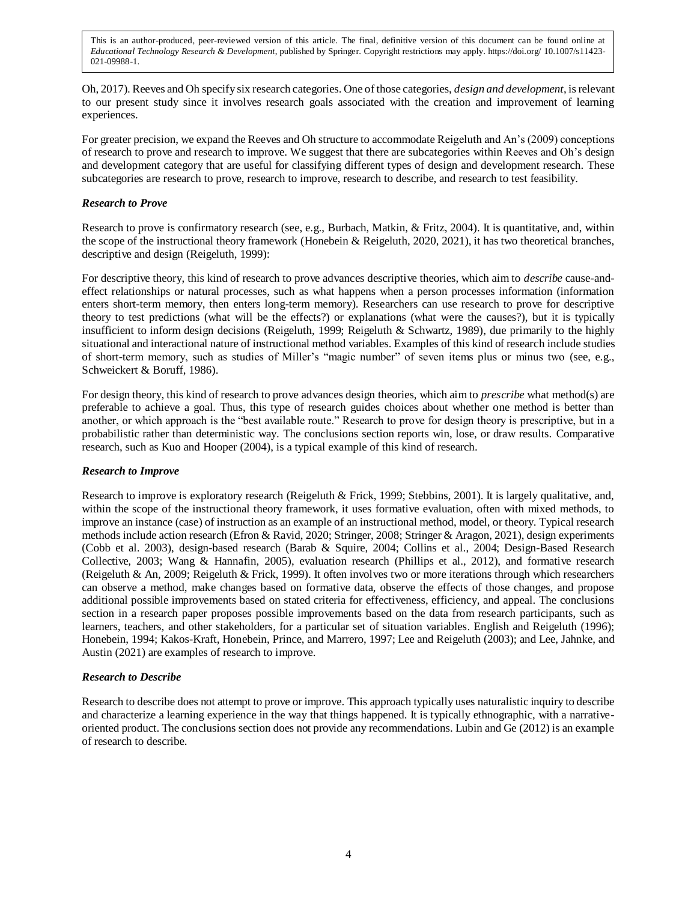Oh, 2017). Reeves and Oh specify six research categories. One of those categories, *design and development*, is relevant to our present study since it involves research goals associated with the creation and improvement of learning experiences.

For greater precision, we expand the Reeves and Oh structure to accommodate Reigeluth and An's (2009) conceptions of research to prove and research to improve. We suggest that there are subcategories within Reeves and Oh's design and development category that are useful for classifying different types of design and development research. These subcategories are research to prove, research to improve, research to describe, and research to test feasibility.

## *Research to Prove*

Research to prove is confirmatory research (see, e.g., Burbach, Matkin, & Fritz, 2004). It is quantitative, and, within the scope of the instructional theory framework (Honebein & Reigeluth, 2020, 2021), it has two theoretical branches, descriptive and design (Reigeluth, 1999):

For descriptive theory, this kind of research to prove advances descriptive theories, which aim to *describe* cause-andeffect relationships or natural processes, such as what happens when a person processes information (information enters short-term memory, then enters long-term memory). Researchers can use research to prove for descriptive theory to test predictions (what will be the effects?) or explanations (what were the causes?), but it is typically insufficient to inform design decisions (Reigeluth, 1999; Reigeluth & Schwartz, 1989), due primarily to the highly situational and interactional nature of instructional method variables. Examples of this kind of research include studies of short-term memory, such as studies of Miller's "magic number" of seven items plus or minus two (see, e.g., Schweickert & Boruff, 1986).

For design theory, this kind of research to prove advances design theories, which aim to *prescribe* what method(s) are preferable to achieve a goal. Thus, this type of research guides choices about whether one method is better than another, or which approach is the "best available route." Research to prove for design theory is prescriptive, but in a probabilistic rather than deterministic way. The conclusions section reports win, lose, or draw results. Comparative research, such as Kuo and Hooper (2004), is a typical example of this kind of research.

## *Research to Improve*

Research to improve is exploratory research (Reigeluth & Frick, 1999; Stebbins, 2001). It is largely qualitative, and, within the scope of the instructional theory framework, it uses formative evaluation, often with mixed methods, to improve an instance (case) of instruction as an example of an instructional method, model, or theory. Typical research methods include action research (Efron & Ravid, 2020; Stringer, 2008; Stringer & Aragon, 2021), design experiments (Cobb et al. 2003), design-based research (Barab & Squire, 2004; Collins et al., 2004; Design-Based Research Collective, 2003; Wang & Hannafin, 2005), evaluation research (Phillips et al., 2012), and formative research (Reigeluth & An, 2009; Reigeluth & Frick, 1999). It often involves two or more iterations through which researchers can observe a method, make changes based on formative data, observe the effects of those changes, and propose additional possible improvements based on stated criteria for effectiveness, efficiency, and appeal. The conclusions section in a research paper proposes possible improvements based on the data from research participants, such as learners, teachers, and other stakeholders, for a particular set of situation variables. English and Reigeluth (1996); Honebein, 1994; Kakos-Kraft, Honebein, Prince, and Marrero, 1997; Lee and Reigeluth (2003); and Lee, Jahnke, and Austin (2021) are examples of research to improve.

## *Research to Describe*

Research to describe does not attempt to prove or improve. This approach typically uses naturalistic inquiry to describe and characterize a learning experience in the way that things happened. It is typically ethnographic, with a narrativeoriented product. The conclusions section does not provide any recommendations. Lubin and Ge (2012) is an example of research to describe.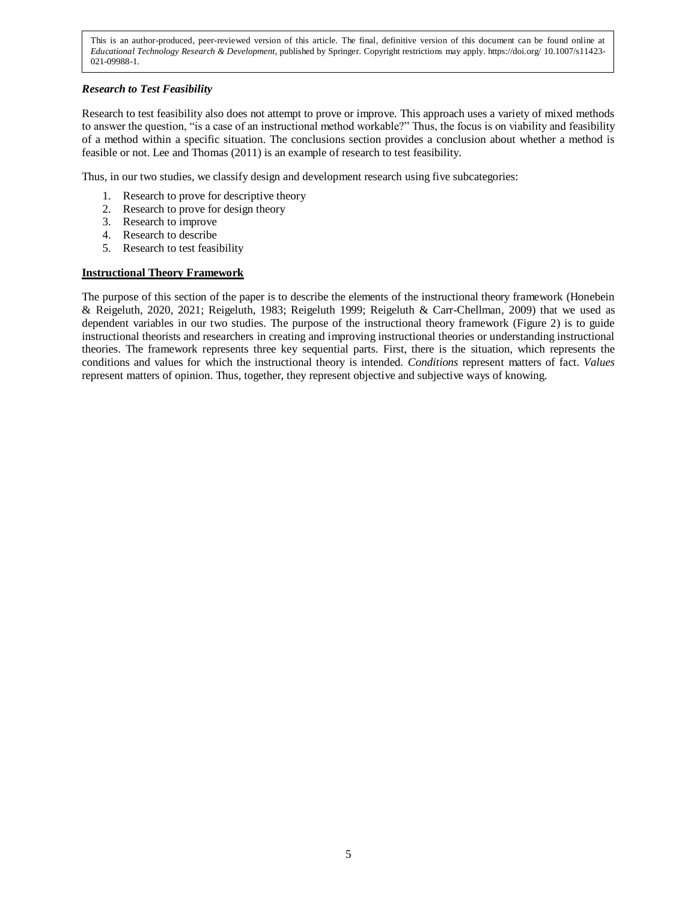## *Research to Test Feasibility*

Research to test feasibility also does not attempt to prove or improve. This approach uses a variety of mixed methods to answer the question, "is a case of an instructional method workable?" Thus, the focus is on viability and feasibility of a method within a specific situation. The conclusions section provides a conclusion about whether a method is feasible or not. Lee and Thomas (2011) is an example of research to test feasibility.

Thus, in our two studies, we classify design and development research using five subcategories:

- 1. Research to prove for descriptive theory
- 2. Research to prove for design theory
- 3. Research to improve
- 4. Research to describe
- 5. Research to test feasibility

## **Instructional Theory Framework**

The purpose of this section of the paper is to describe the elements of the instructional theory framework (Honebein & Reigeluth, 2020, 2021; Reigeluth, 1983; Reigeluth 1999; Reigeluth & Carr-Chellman, 2009) that we used as dependent variables in our two studies. The purpose of the instructional theory framework (Figure 2) is to guide instructional theorists and researchers in creating and improving instructional theories or understanding instructional theories. The framework represents three key sequential parts. First, there is the situation, which represents the conditions and values for which the instructional theory is intended. *Conditions* represent matters of fact. *Values* represent matters of opinion. Thus, together, they represent objective and subjective ways of knowing.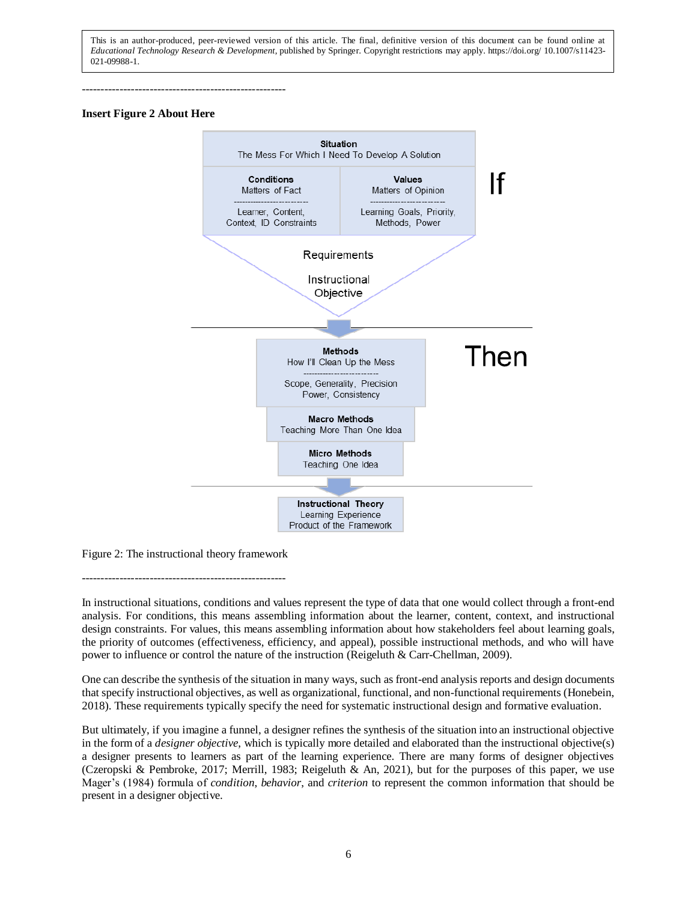------------------------------------------------------

#### **Insert Figure 2 About Here**



Figure 2: The instructional theory framework

------------------------------------------------------

In instructional situations, conditions and values represent the type of data that one would collect through a front-end analysis. For conditions, this means assembling information about the learner, content, context, and instructional design constraints. For values, this means assembling information about how stakeholders feel about learning goals, the priority of outcomes (effectiveness, efficiency, and appeal), possible instructional methods, and who will have power to influence or control the nature of the instruction (Reigeluth & Carr-Chellman, 2009).

One can describe the synthesis of the situation in many ways, such as front-end analysis reports and design documents that specify instructional objectives, as well as organizational, functional, and non-functional requirements (Honebein, 2018). These requirements typically specify the need for systematic instructional design and formative evaluation.

But ultimately, if you imagine a funnel, a designer refines the synthesis of the situation into an instructional objective in the form of a *designer objective*, which is typically more detailed and elaborated than the instructional objective(s) a designer presents to learners as part of the learning experience. There are many forms of designer objectives (Czeropski & Pembroke, 2017; Merrill, 1983; Reigeluth & An, 2021), but for the purposes of this paper, we use Mager's (1984) formula of *condition*, *behavior*, and *criterion* to represent the common information that should be present in a designer objective.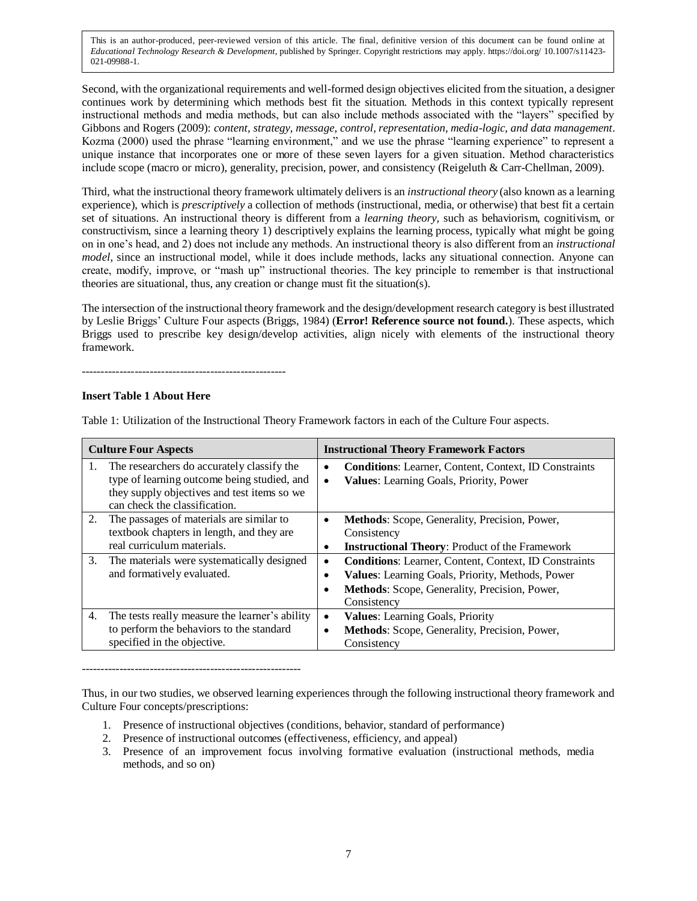Second, with the organizational requirements and well-formed design objectives elicited from the situation, a designer continues work by determining which methods best fit the situation. Methods in this context typically represent instructional methods and media methods, but can also include methods associated with the "layers" specified by Gibbons and Rogers (2009): *content, strategy, message, control, representation, media-logic, and data management*. Kozma (2000) used the phrase "learning environment," and we use the phrase "learning experience" to represent a unique instance that incorporates one or more of these seven layers for a given situation. Method characteristics include scope (macro or micro), generality, precision, power, and consistency (Reigeluth & Carr-Chellman, 2009).

Third, what the instructional theory framework ultimately delivers is an *instructional theory* (also known as a learning experience), which is *prescriptively* a collection of methods (instructional, media, or otherwise) that best fit a certain set of situations. An instructional theory is different from a *learning theory*, such as behaviorism, cognitivism, or constructivism, since a learning theory 1) descriptively explains the learning process, typically what might be going on in one's head, and 2) does not include any methods. An instructional theory is also different from an *instructional model*, since an instructional model, while it does include methods, lacks any situational connection. Anyone can create, modify, improve, or "mash up" instructional theories. The key principle to remember is that instructional theories are situational, thus, any creation or change must fit the situation(s).

The intersection of the instructional theory framework and the design/development research category is best illustrated by Leslie Briggs' Culture Four aspects (Briggs, 1984) (**Error! Reference source not found.**). These aspects, which Briggs used to prescribe key design/develop activities, align nicely with elements of the instructional theory framework.

------------------------------------------------------

## **Insert Table 1 About Here**

| <b>Culture Four Aspects</b>                                                                                                                                                     |                | <b>Instructional Theory Framework Factors</b>                                                                                                                                           |  |
|---------------------------------------------------------------------------------------------------------------------------------------------------------------------------------|----------------|-----------------------------------------------------------------------------------------------------------------------------------------------------------------------------------------|--|
| The researchers do accurately classify the<br>1.<br>type of learning outcome being studied, and<br>they supply objectives and test items so we<br>can check the classification. | $\bullet$<br>٠ | <b>Conditions:</b> Learner, Content, Context, ID Constraints<br>Values: Learning Goals, Priority, Power                                                                                 |  |
| The passages of materials are similar to<br>2.<br>textbook chapters in length, and they are<br>real curriculum materials.                                                       | ٠              | <b>Methods:</b> Scope, Generality, Precision, Power,<br>Consistency<br><b>Instructional Theory:</b> Product of the Framework                                                            |  |
| 3.<br>The materials were systematically designed<br>and formatively evaluated.                                                                                                  | ٠<br>$\bullet$ | <b>Conditions:</b> Learner, Content, Context, ID Constraints<br><b>Values:</b> Learning Goals, Priority, Methods, Power<br>Methods: Scope, Generality, Precision, Power,<br>Consistency |  |
| The tests really measure the learner's ability<br>4.<br>to perform the behaviors to the standard<br>specified in the objective.                                                 | $\bullet$<br>٠ | <b>Values:</b> Learning Goals, Priority<br>Methods: Scope, Generality, Precision, Power,<br>Consistency                                                                                 |  |

Table 1: Utilization of the Instructional Theory Framework factors in each of the Culture Four aspects.

----------------------------------------------------------

Thus, in our two studies, we observed learning experiences through the following instructional theory framework and Culture Four concepts/prescriptions:

- 1. Presence of instructional objectives (conditions, behavior, standard of performance)
- 2. Presence of instructional outcomes (effectiveness, efficiency, and appeal)
- 3. Presence of an improvement focus involving formative evaluation (instructional methods, media methods, and so on)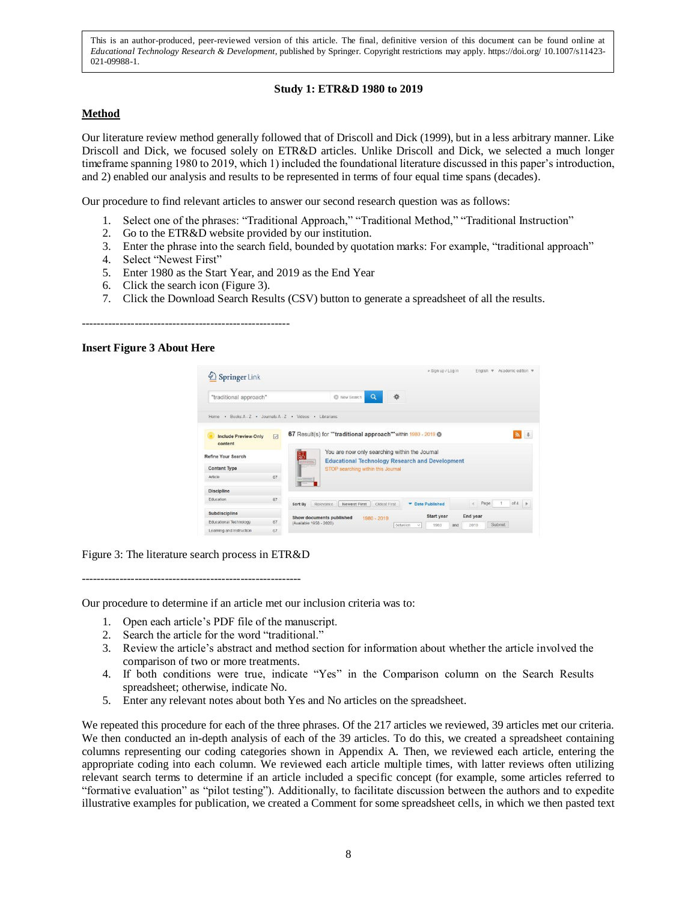## **Study 1: ETR&D 1980 to 2019**

## **Method**

Our literature review method generally followed that of Driscoll and Dick (1999), but in a less arbitrary manner. Like Driscoll and Dick, we focused solely on ETR&D articles. Unlike Driscoll and Dick, we selected a much longer timeframe spanning 1980 to 2019, which 1) included the foundational literature discussed in this paper's introduction, and 2) enabled our analysis and results to be represented in terms of four equal time spans (decades).

Our procedure to find relevant articles to answer our second research question was as follows:

- 1. Select one of the phrases: "Traditional Approach," "Traditional Method," "Traditional Instruction"
- 2. Go to the ETR&D website provided by our institution.
- 3. Enter the phrase into the search field, bounded by quotation marks: For example, "traditional approach"
- 4. Select "Newest First"
- 5. Enter 1980 as the Start Year, and 2019 as the End Year
- 6. Click the search icon (Figure 3).
- 7. Click the Download Search Results (CSV) button to generate a spreadsheet of all the results.

-------------------------------------------------------

#### **Insert Figure 3 About Here**



Figure 3: The literature search process in ETR&D

----------------------------------------------------------

Our procedure to determine if an article met our inclusion criteria was to:

- 1. Open each article's PDF file of the manuscript.
- 2. Search the article for the word "traditional."
- 3. Review the article's abstract and method section for information about whether the article involved the comparison of two or more treatments.
- 4. If both conditions were true, indicate "Yes" in the Comparison column on the Search Results spreadsheet; otherwise, indicate No.
- 5. Enter any relevant notes about both Yes and No articles on the spreadsheet.

We repeated this procedure for each of the three phrases. Of the 217 articles we reviewed, 39 articles met our criteria. We then conducted an in-depth analysis of each of the 39 articles. To do this, we created a spreadsheet containing columns representing our coding categories shown in Appendix A. Then, we reviewed each article, entering the appropriate coding into each column. We reviewed each article multiple times, with latter reviews often utilizing relevant search terms to determine if an article included a specific concept (for example, some articles referred to "formative evaluation" as "pilot testing"). Additionally, to facilitate discussion between the authors and to expedite illustrative examples for publication, we created a Comment for some spreadsheet cells, in which we then pasted text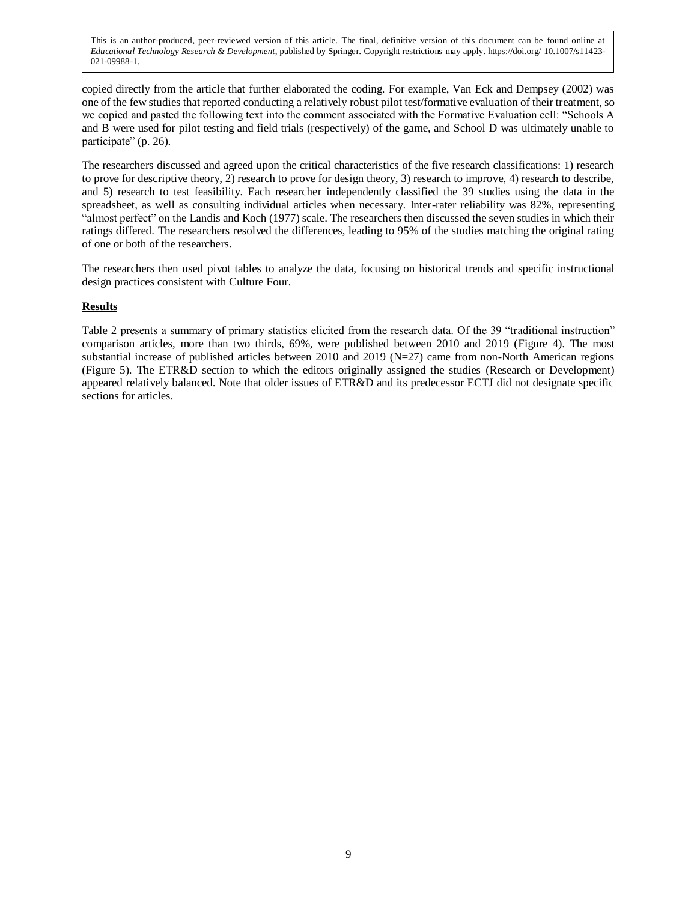copied directly from the article that further elaborated the coding. For example, Van Eck and Dempsey (2002) was one of the few studies that reported conducting a relatively robust pilot test/formative evaluation of their treatment, so we copied and pasted the following text into the comment associated with the Formative Evaluation cell: "Schools A and B were used for pilot testing and field trials (respectively) of the game, and School D was ultimately unable to participate" (p. 26).

The researchers discussed and agreed upon the critical characteristics of the five research classifications: 1) research to prove for descriptive theory, 2) research to prove for design theory, 3) research to improve, 4) research to describe, and 5) research to test feasibility. Each researcher independently classified the 39 studies using the data in the spreadsheet, as well as consulting individual articles when necessary. Inter-rater reliability was 82%, representing "almost perfect" on the Landis and Koch (1977) scale. The researchers then discussed the seven studies in which their ratings differed. The researchers resolved the differences, leading to 95% of the studies matching the original rating of one or both of the researchers.

The researchers then used pivot tables to analyze the data, focusing on historical trends and specific instructional design practices consistent with Culture Four.

## **Results**

Table 2 presents a summary of primary statistics elicited from the research data. Of the 39 "traditional instruction" comparison articles, more than two thirds, 69%, were published between 2010 and 2019 (Figure 4). The most substantial increase of published articles between 2010 and 2019 (N=27) came from non-North American regions (Figure 5). The ETR&D section to which the editors originally assigned the studies (Research or Development) appeared relatively balanced. Note that older issues of ETR&D and its predecessor ECTJ did not designate specific sections for articles.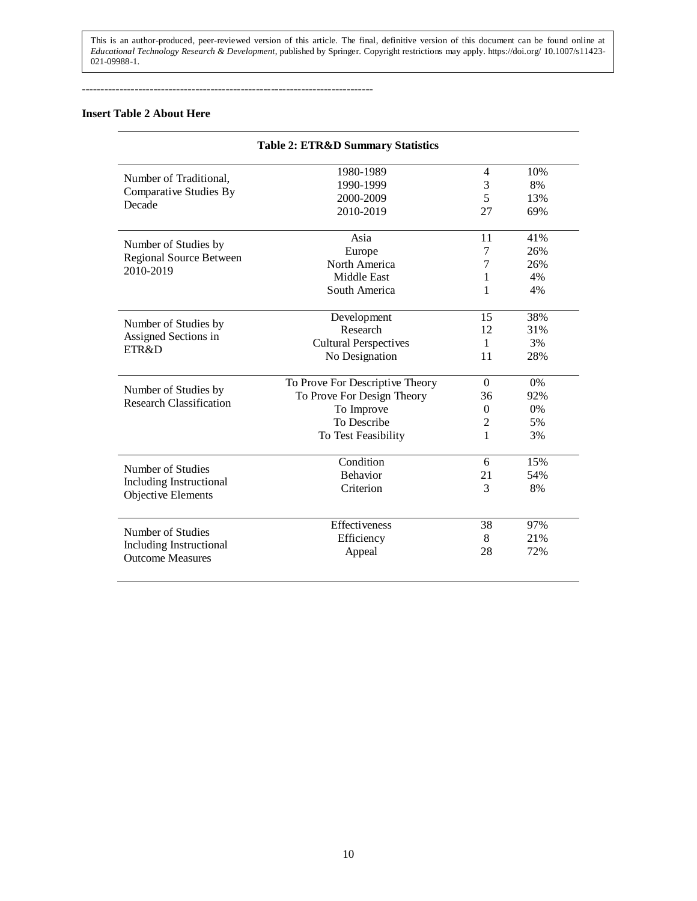-----------------------------------------------------------------------------

## **Insert Table 2 About Here**

| <b>Table 2: ETR&amp;D Summary Statistics</b>           |                                 |                |     |  |
|--------------------------------------------------------|---------------------------------|----------------|-----|--|
|                                                        | 1980-1989                       | $\overline{4}$ | 10% |  |
| Number of Traditional,                                 | 1990-1999                       | $\mathfrak{Z}$ | 8%  |  |
| <b>Comparative Studies By</b>                          | 2000-2009                       | 5              | 13% |  |
| Decade                                                 | 2010-2019                       | 27             | 69% |  |
| Number of Studies by                                   | Asia                            | 11             | 41% |  |
| Regional Source Between                                | Europe                          | 7              | 26% |  |
| 2010-2019                                              | North America                   | 7              | 26% |  |
|                                                        | <b>Middle East</b>              | 1              | 4%  |  |
|                                                        | South America                   | 1              | 4%  |  |
| Number of Studies by                                   | Development                     | 15             | 38% |  |
| Assigned Sections in                                   | Research                        | 12             | 31% |  |
| ETR&D                                                  | <b>Cultural Perspectives</b>    | 1              | 3%  |  |
|                                                        | No Designation                  | 11             | 28% |  |
|                                                        | To Prove For Descriptive Theory | $\Omega$       | 0%  |  |
| Number of Studies by<br><b>Research Classification</b> | To Prove For Design Theory      | 36             | 92% |  |
|                                                        | To Improve                      | $\Omega$       | 0%  |  |
|                                                        | To Describe                     | $\overline{c}$ | 5%  |  |
|                                                        | To Test Feasibility             | 1              | 3%  |  |
| Number of Studies                                      | Condition                       | 6              | 15% |  |
| <b>Including Instructional</b>                         | <b>Behavior</b>                 | 21             | 54% |  |
| Objective Elements                                     | Criterion                       | 3              | 8%  |  |
| Number of Studies                                      | Effectiveness                   | 38             | 97% |  |
| Including Instructional                                | Efficiency                      | 8              | 21% |  |
| <b>Outcome Measures</b>                                | Appeal                          | 28             | 72% |  |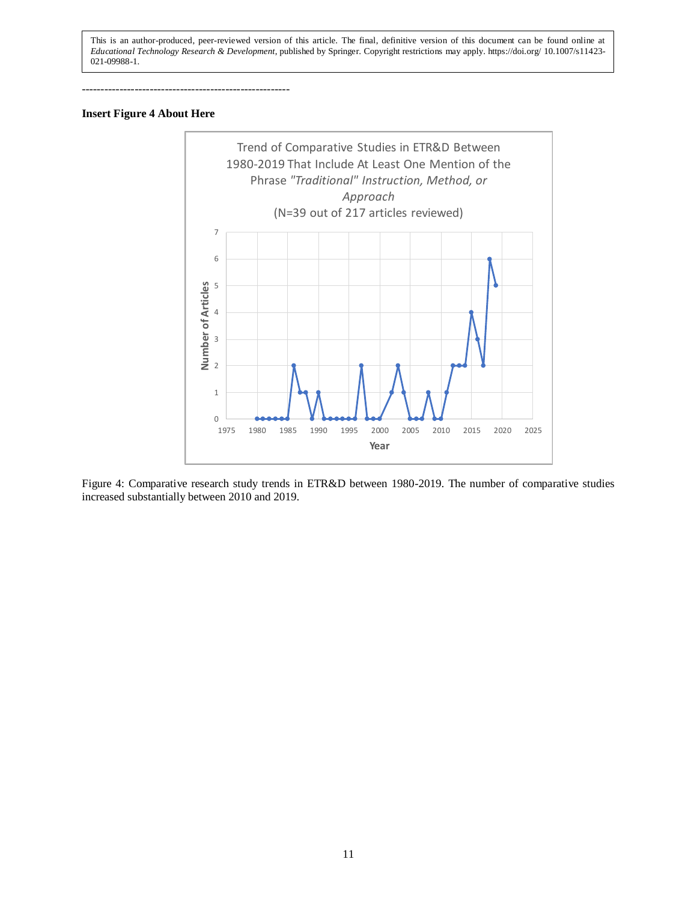-------------------------------------------------------

## **Insert Figure 4 About Here**



Figure 4: Comparative research study trends in ETR&D between 1980-2019. The number of comparative studies increased substantially between 2010 and 2019.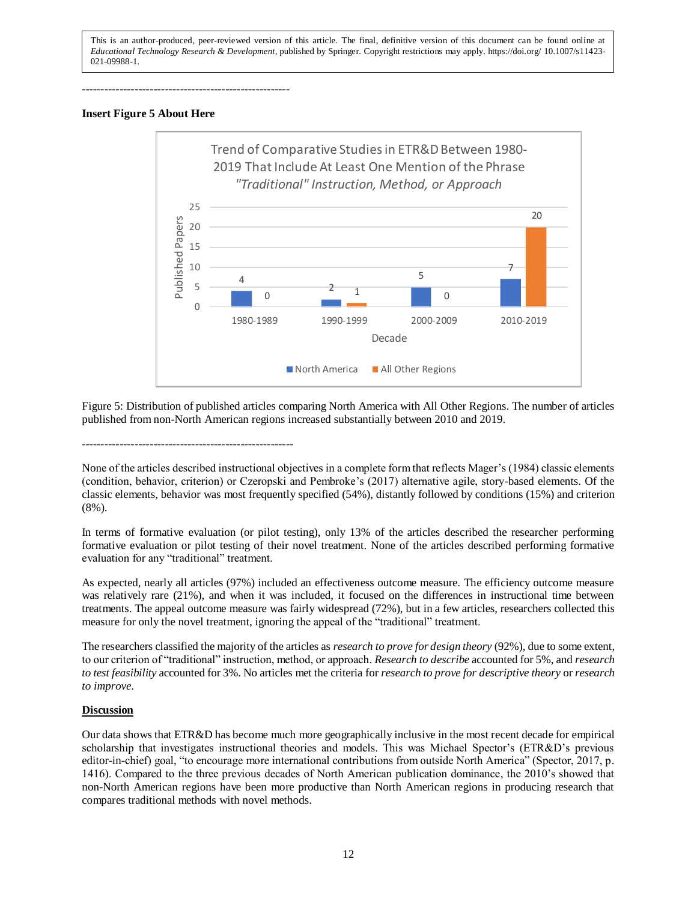-------------------------------------------------------

#### **Insert Figure 5 About Here**



Figure 5: Distribution of published articles comparing North America with All Other Regions. The number of articles published from non-North American regions increased substantially between 2010 and 2019.

--------------------------------------------------------

None of the articles described instructional objectives in a complete form that reflects Mager's (1984) classic elements (condition, behavior, criterion) or Czeropski and Pembroke's (2017) alternative agile, story-based elements. Of the classic elements, behavior was most frequently specified (54%), distantly followed by conditions (15%) and criterion (8%).

In terms of formative evaluation (or pilot testing), only 13% of the articles described the researcher performing formative evaluation or pilot testing of their novel treatment. None of the articles described performing formative evaluation for any "traditional" treatment.

As expected, nearly all articles (97%) included an effectiveness outcome measure. The efficiency outcome measure was relatively rare (21%), and when it was included, it focused on the differences in instructional time between treatments. The appeal outcome measure was fairly widespread (72%), but in a few articles, researchers collected this measure for only the novel treatment, ignoring the appeal of the "traditional" treatment.

The researchers classified the majority of the articles as *research to prove for design theory* (92%), due to some extent, to our criterion of "traditional" instruction, method, or approach. *Research to describe* accounted for 5%, and *research to test feasibility* accounted for 3%. No articles met the criteria for *research to prove for descriptive theory* or *research to improve*.

## **Discussion**

Our data shows that ETR&D has become much more geographically inclusive in the most recent decade for empirical scholarship that investigates instructional theories and models. This was Michael Spector's (ETR&D's previous editor-in-chief) goal, "to encourage more international contributions from outside North America" (Spector, 2017, p. 1416). Compared to the three previous decades of North American publication dominance, the 2010's showed that non-North American regions have been more productive than North American regions in producing research that compares traditional methods with novel methods.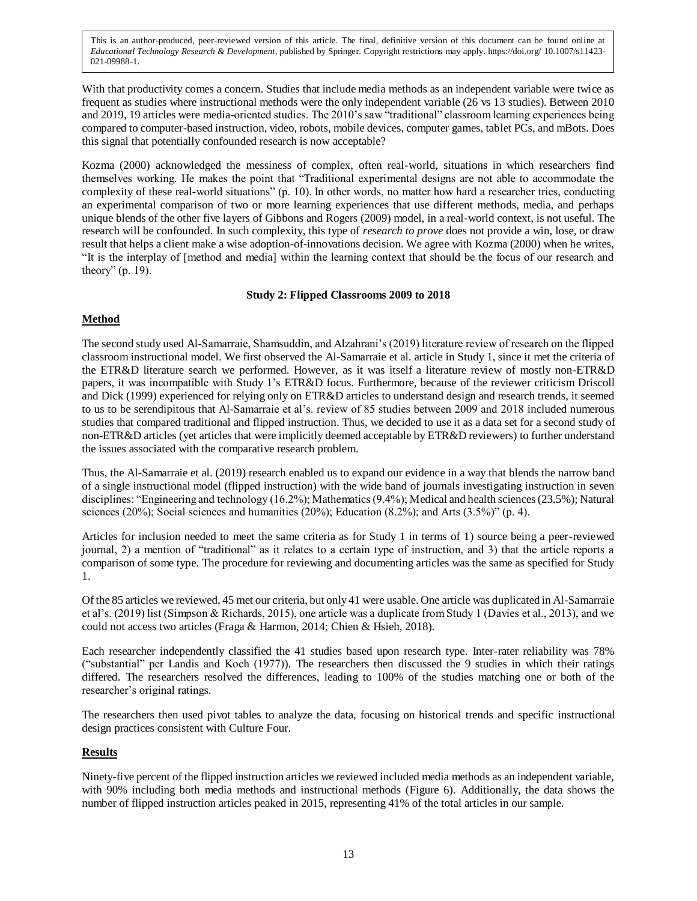With that productivity comes a concern. Studies that include media methods as an independent variable were twice as frequent as studies where instructional methods were the only independent variable (26 vs 13 studies). Between 2010 and 2019, 19 articles were media-oriented studies. The 2010's saw "traditional" classroom learning experiences being compared to computer-based instruction, video, robots, mobile devices, computer games, tablet PCs, and mBots. Does this signal that potentially confounded research is now acceptable?

Kozma (2000) acknowledged the messiness of complex, often real-world, situations in which researchers find themselves working. He makes the point that "Traditional experimental designs are not able to accommodate the complexity of these real-world situations" (p. 10). In other words, no matter how hard a researcher tries, conducting an experimental comparison of two or more learning experiences that use different methods, media, and perhaps unique blends of the other five layers of Gibbons and Rogers (2009) model, in a real-world context, is not useful. The research will be confounded. In such complexity, this type of *research to prove* does not provide a win, lose, or draw result that helps a client make a wise adoption-of-innovations decision. We agree with Kozma (2000) when he writes, "It is the interplay of [method and media] within the learning context that should be the focus of our research and theory" (p. 19).

## **Study 2: Flipped Classrooms 2009 to 2018**

## **Method**

The second study used Al-Samarraie, Shamsuddin, and Alzahrani's (2019) literature review of research on the flipped classroom instructional model. We first observed the Al-Samarraie et al. article in Study 1, since it met the criteria of the ETR&D literature search we performed. However, as it was itself a literature review of mostly non-ETR&D papers, it was incompatible with Study 1's ETR&D focus. Furthermore, because of the reviewer criticism Driscoll and Dick (1999) experienced for relying only on ETR&D articles to understand design and research trends, it seemed to us to be serendipitous that Al-Samarraie et al's. review of 85 studies between 2009 and 2018 included numerous studies that compared traditional and flipped instruction. Thus, we decided to use it as a data set for a second study of non-ETR&D articles (yet articles that were implicitly deemed acceptable by ETR&D reviewers) to further understand the issues associated with the comparative research problem.

Thus, the Al-Samarraie et al. (2019) research enabled us to expand our evidence in a way that blends the narrow band of a single instructional model (flipped instruction) with the wide band of journals investigating instruction in seven disciplines: "Engineering and technology (16.2%); Mathematics (9.4%); Medical and health sciences (23.5%); Natural sciences (20%); Social sciences and humanities (20%); Education (8.2%); and Arts (3.5%)" (p. 4).

Articles for inclusion needed to meet the same criteria as for Study 1 in terms of 1) source being a peer-reviewed journal, 2) a mention of "traditional" as it relates to a certain type of instruction, and 3) that the article reports a comparison of some type. The procedure for reviewing and documenting articles was the same as specified for Study 1.

Of the 85 articles we reviewed, 45 met our criteria, but only 41 were usable. One article was duplicated in Al-Samarraie et al's. (2019) list (Simpson & Richards, 2015), one article was a duplicate from Study 1 (Davies et al., 2013), and we could not access two articles (Fraga & Harmon, 2014; Chien & Hsieh, 2018).

Each researcher independently classified the 41 studies based upon research type. Inter-rater reliability was 78% ("substantial" per Landis and Koch (1977)). The researchers then discussed the 9 studies in which their ratings differed. The researchers resolved the differences, leading to 100% of the studies matching one or both of the researcher's original ratings.

The researchers then used pivot tables to analyze the data, focusing on historical trends and specific instructional design practices consistent with Culture Four.

## **Results**

Ninety-five percent of the flipped instruction articles we reviewed included media methods as an independent variable, with 90% including both media methods and instructional methods (Figure 6). Additionally, the data shows the number of flipped instruction articles peaked in 2015, representing 41% of the total articles in our sample.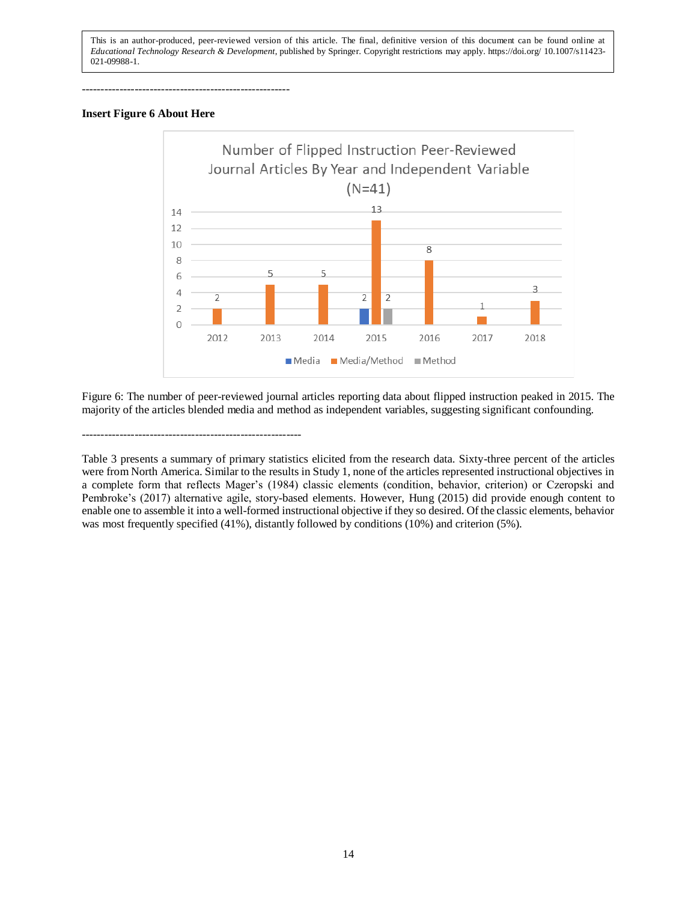-------------------------------------------------------

## **Insert Figure 6 About Here**



Figure 6: The number of peer-reviewed journal articles reporting data about flipped instruction peaked in 2015. The majority of the articles blended media and method as independent variables, suggesting significant confounding.

----------------------------------------------------------

Table 3 presents a summary of primary statistics elicited from the research data. Sixty-three percent of the articles were from North America. Similar to the results in Study 1, none of the articles represented instructional objectives in a complete form that reflects Mager's (1984) classic elements (condition, behavior, criterion) or Czeropski and Pembroke's (2017) alternative agile, story-based elements. However, Hung (2015) did provide enough content to enable one to assemble it into a well-formed instructional objective if they so desired. Of the classic elements, behavior was most frequently specified (41%), distantly followed by conditions (10%) and criterion (5%).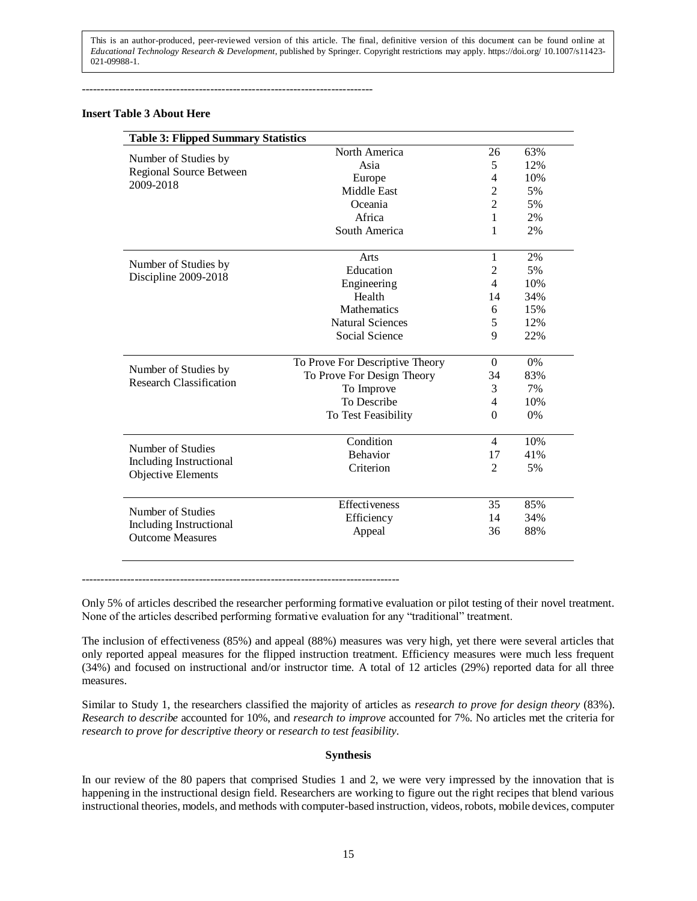-----------------------------------------------------------------------------

## **Insert Table 3 About Here**

| <b>Table 3: Flipped Summary Statistics</b>         |                                          |                          |           |
|----------------------------------------------------|------------------------------------------|--------------------------|-----------|
|                                                    | North America                            | 26                       | 63%       |
| Number of Studies by                               | Asia                                     | 5                        | 12%       |
| Regional Source Between                            | Europe                                   | 4                        | 10%       |
| 2009-2018                                          | <b>Middle East</b>                       | $\overline{2}$           | 5%        |
|                                                    | Oceania                                  | $\overline{2}$           | 5%        |
|                                                    | Africa                                   | 1                        | 2%        |
|                                                    | South America                            | 1                        | 2%        |
| Number of Studies by                               | Arts                                     | 1                        | 2%        |
| Discipline 2009-2018                               | Education                                | $\overline{2}$           | 5%        |
|                                                    | Engineering                              | $\overline{\mathcal{L}}$ | 10%       |
|                                                    | Health                                   | 14                       | 34%       |
|                                                    | <b>Mathematics</b>                       | 6                        | 15%       |
|                                                    | <b>Natural Sciences</b>                  | 5                        | 12%       |
|                                                    | Social Science                           | 9                        | 22%       |
|                                                    |                                          |                          |           |
| Number of Studies by                               | To Prove For Descriptive Theory          | $\overline{0}$<br>34     | 0%<br>83% |
| <b>Research Classification</b>                     | To Prove For Design Theory<br>To Improve | 3                        | 7%        |
|                                                    | To Describe                              | $\overline{4}$           | 10%       |
|                                                    |                                          | $\theta$                 |           |
|                                                    | To Test Feasibility                      |                          | 0%        |
| Number of Studies                                  | Condition                                | $\overline{4}$           | 10%       |
| Including Instructional                            | <b>Behavior</b>                          | 17                       | 41%       |
| Objective Elements                                 | Criterion                                | $\overline{2}$           | 5%        |
|                                                    |                                          |                          |           |
| Number of Studies                                  | Effectiveness                            | 35                       | 85%       |
|                                                    | Efficiency                               | 14                       | 34%       |
| Including Instructional<br><b>Outcome Measures</b> | Appeal                                   | 36                       | 88%       |
|                                                    |                                          |                          |           |

 $-$ 

Only 5% of articles described the researcher performing formative evaluation or pilot testing of their novel treatment. None of the articles described performing formative evaluation for any "traditional" treatment.

The inclusion of effectiveness (85%) and appeal (88%) measures was very high, yet there were several articles that only reported appeal measures for the flipped instruction treatment. Efficiency measures were much less frequent (34%) and focused on instructional and/or instructor time. A total of 12 articles (29%) reported data for all three measures.

Similar to Study 1, the researchers classified the majority of articles as *research to prove for design theory* (83%). *Research to describe* accounted for 10%, and *research to improve* accounted for 7%. No articles met the criteria for *research to prove for descriptive theory* or *research to test feasibility*.

## **Synthesis**

In our review of the 80 papers that comprised Studies 1 and 2, we were very impressed by the innovation that is happening in the instructional design field. Researchers are working to figure out the right recipes that blend various instructional theories, models, and methods with computer-based instruction, videos, robots, mobile devices, computer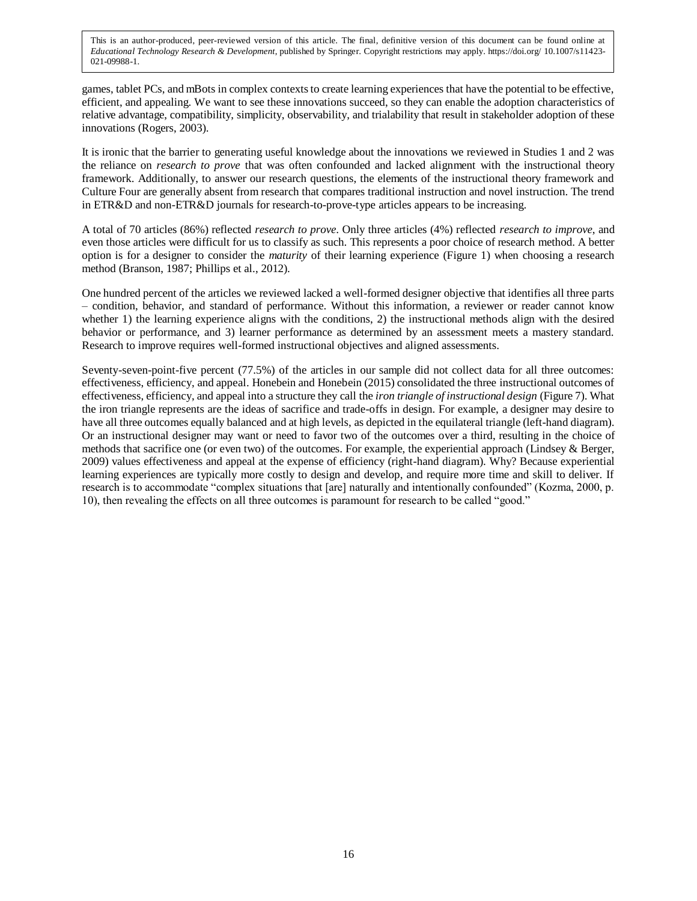games, tablet PCs, and mBots in complex contexts to create learning experiences that have the potential to be effective, efficient, and appealing. We want to see these innovations succeed, so they can enable the adoption characteristics of relative advantage, compatibility, simplicity, observability, and trialability that result in stakeholder adoption of these innovations (Rogers, 2003).

It is ironic that the barrier to generating useful knowledge about the innovations we reviewed in Studies 1 and 2 was the reliance on *research to prove* that was often confounded and lacked alignment with the instructional theory framework. Additionally, to answer our research questions, the elements of the instructional theory framework and Culture Four are generally absent from research that compares traditional instruction and novel instruction. The trend in ETR&D and non-ETR&D journals for research-to-prove-type articles appears to be increasing.

A total of 70 articles (86%) reflected *research to prove*. Only three articles (4%) reflected *research to improve*, and even those articles were difficult for us to classify as such. This represents a poor choice of research method. A better option is for a designer to consider the *maturity* of their learning experience (Figure 1) when choosing a research method (Branson, 1987; Phillips et al., 2012).

One hundred percent of the articles we reviewed lacked a well-formed designer objective that identifies all three parts – condition, behavior, and standard of performance. Without this information, a reviewer or reader cannot know whether 1) the learning experience aligns with the conditions, 2) the instructional methods align with the desired behavior or performance, and 3) learner performance as determined by an assessment meets a mastery standard. Research to improve requires well-formed instructional objectives and aligned assessments.

Seventy-seven-point-five percent (77.5%) of the articles in our sample did not collect data for all three outcomes: effectiveness, efficiency, and appeal. Honebein and Honebein (2015) consolidated the three instructional outcomes of effectiveness, efficiency, and appeal into a structure they call the *iron triangle of instructional design* (Figure 7). What the iron triangle represents are the ideas of sacrifice and trade-offs in design. For example, a designer may desire to have all three outcomes equally balanced and at high levels, as depicted in the equilateral triangle (left-hand diagram). Or an instructional designer may want or need to favor two of the outcomes over a third, resulting in the choice of methods that sacrifice one (or even two) of the outcomes. For example, the experiential approach (Lindsey & Berger, 2009) values effectiveness and appeal at the expense of efficiency (right-hand diagram). Why? Because experiential learning experiences are typically more costly to design and develop, and require more time and skill to deliver. If research is to accommodate "complex situations that [are] naturally and intentionally confounded" (Kozma, 2000, p. 10), then revealing the effects on all three outcomes is paramount for research to be called "good."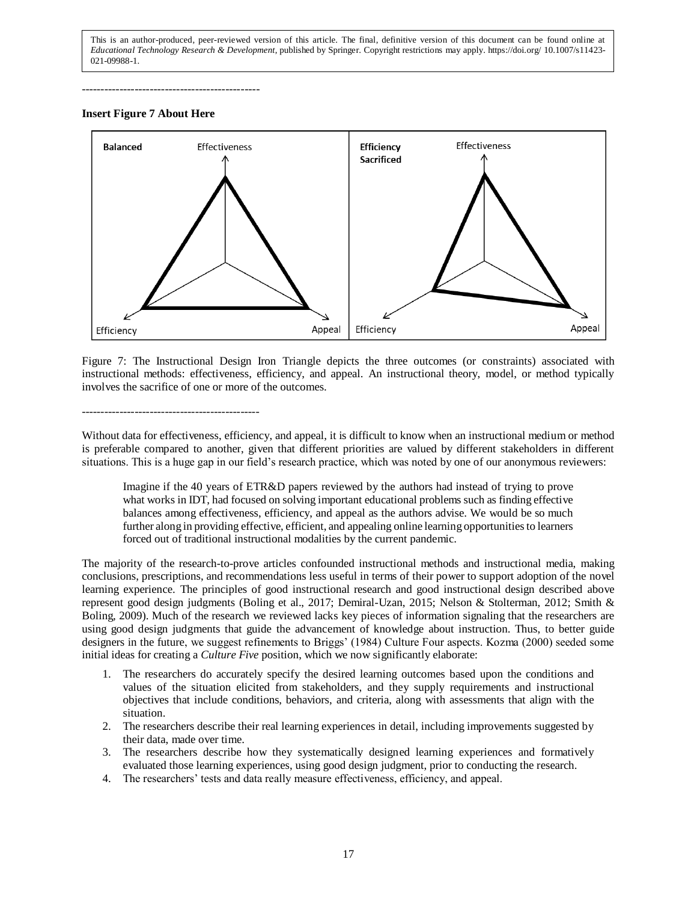-----------------------------------------------

#### **Insert Figure 7 About Here**



Figure 7: The Instructional Design Iron Triangle depicts the three outcomes (or constraints) associated with instructional methods: effectiveness, efficiency, and appeal. An instructional theory, model, or method typically involves the sacrifice of one or more of the outcomes.

#### -----------------------------------------------

Without data for effectiveness, efficiency, and appeal, it is difficult to know when an instructional medium or method is preferable compared to another, given that different priorities are valued by different stakeholders in different situations. This is a huge gap in our field's research practice, which was noted by one of our anonymous reviewers:

Imagine if the 40 years of ETR&D papers reviewed by the authors had instead of trying to prove what works in IDT, had focused on solving important educational problems such as finding effective balances among effectiveness, efficiency, and appeal as the authors advise. We would be so much further along in providing effective, efficient, and appealing online learning opportunities to learners forced out of traditional instructional modalities by the current pandemic.

The majority of the research-to-prove articles confounded instructional methods and instructional media, making conclusions, prescriptions, and recommendations less useful in terms of their power to support adoption of the novel learning experience. The principles of good instructional research and good instructional design described above represent good design judgments (Boling et al., 2017; Demiral-Uzan, 2015; Nelson & Stolterman, 2012; Smith & Boling, 2009). Much of the research we reviewed lacks key pieces of information signaling that the researchers are using good design judgments that guide the advancement of knowledge about instruction. Thus, to better guide designers in the future, we suggest refinements to Briggs' (1984) Culture Four aspects. Kozma (2000) seeded some initial ideas for creating a *Culture Five* position, which we now significantly elaborate:

- 1. The researchers do accurately specify the desired learning outcomes based upon the conditions and values of the situation elicited from stakeholders, and they supply requirements and instructional objectives that include conditions, behaviors, and criteria, along with assessments that align with the situation.
- 2. The researchers describe their real learning experiences in detail, including improvements suggested by their data, made over time.
- 3. The researchers describe how they systematically designed learning experiences and formatively evaluated those learning experiences, using good design judgment, prior to conducting the research.
- 4. The researchers' tests and data really measure effectiveness, efficiency, and appeal.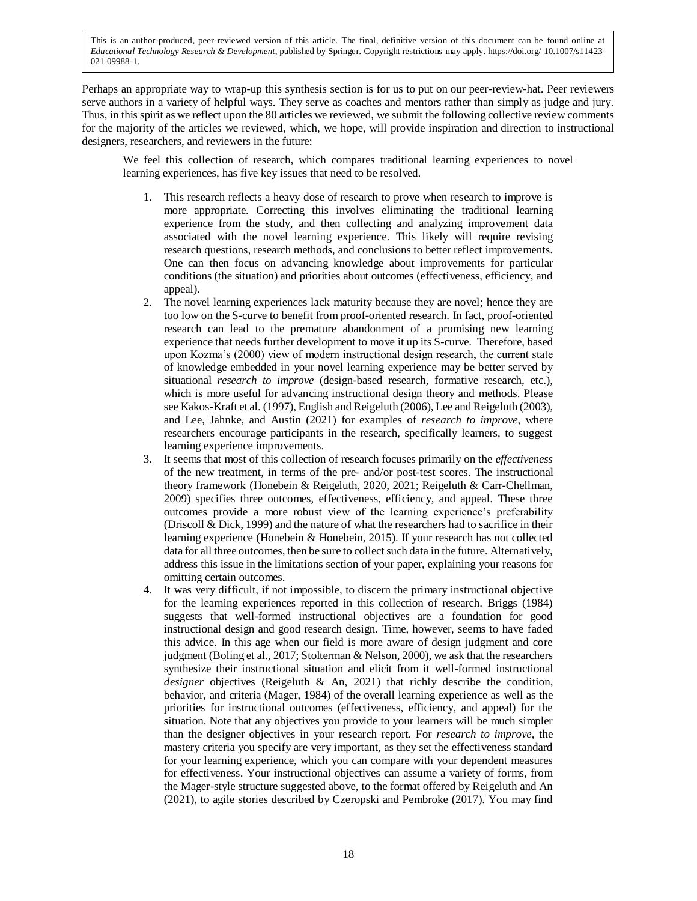Perhaps an appropriate way to wrap-up this synthesis section is for us to put on our peer-review-hat. Peer reviewers serve authors in a variety of helpful ways. They serve as coaches and mentors rather than simply as judge and jury. Thus, in this spirit as we reflect upon the 80 articles we reviewed, we submit the following collective review comments for the majority of the articles we reviewed, which, we hope, will provide inspiration and direction to instructional designers, researchers, and reviewers in the future:

We feel this collection of research, which compares traditional learning experiences to novel learning experiences, has five key issues that need to be resolved.

- 1. This research reflects a heavy dose of research to prove when research to improve is more appropriate. Correcting this involves eliminating the traditional learning experience from the study, and then collecting and analyzing improvement data associated with the novel learning experience. This likely will require revising research questions, research methods, and conclusions to better reflect improvements. One can then focus on advancing knowledge about improvements for particular conditions (the situation) and priorities about outcomes (effectiveness, efficiency, and appeal).
- 2. The novel learning experiences lack maturity because they are novel; hence they are too low on the S-curve to benefit from proof-oriented research. In fact, proof-oriented research can lead to the premature abandonment of a promising new learning experience that needs further development to move it up its S-curve. Therefore, based upon Kozma's (2000) view of modern instructional design research, the current state of knowledge embedded in your novel learning experience may be better served by situational *research to improve* (design-based research, formative research, etc.), which is more useful for advancing instructional design theory and methods. Please see Kakos-Kraft et al. (1997), English and Reigeluth (2006), Lee and Reigeluth (2003), and Lee, Jahnke, and Austin (2021) for examples of *research to improve*, where researchers encourage participants in the research, specifically learners, to suggest learning experience improvements.
- 3. It seems that most of this collection of research focuses primarily on the *effectiveness* of the new treatment, in terms of the pre- and/or post-test scores. The instructional theory framework (Honebein & Reigeluth, 2020, 2021; Reigeluth & Carr-Chellman, 2009) specifies three outcomes, effectiveness, efficiency, and appeal. These three outcomes provide a more robust view of the learning experience's preferability (Driscoll & Dick, 1999) and the nature of what the researchers had to sacrifice in their learning experience (Honebein & Honebein, 2015). If your research has not collected data for all three outcomes, then be sure to collect such data in the future. Alternatively, address this issue in the limitations section of your paper, explaining your reasons for omitting certain outcomes.
- 4. It was very difficult, if not impossible, to discern the primary instructional objective for the learning experiences reported in this collection of research. Briggs (1984) suggests that well-formed instructional objectives are a foundation for good instructional design and good research design. Time, however, seems to have faded this advice. In this age when our field is more aware of design judgment and core judgment (Boling et al., 2017; Stolterman & Nelson, 2000), we ask that the researchers synthesize their instructional situation and elicit from it well-formed instructional *designer* objectives (Reigeluth & An, 2021) that richly describe the condition, behavior, and criteria (Mager, 1984) of the overall learning experience as well as the priorities for instructional outcomes (effectiveness, efficiency, and appeal) for the situation. Note that any objectives you provide to your learners will be much simpler than the designer objectives in your research report. For *research to improve*, the mastery criteria you specify are very important, as they set the effectiveness standard for your learning experience, which you can compare with your dependent measures for effectiveness. Your instructional objectives can assume a variety of forms, from the Mager-style structure suggested above, to the format offered by Reigeluth and An (2021), to agile stories described by Czeropski and Pembroke (2017). You may find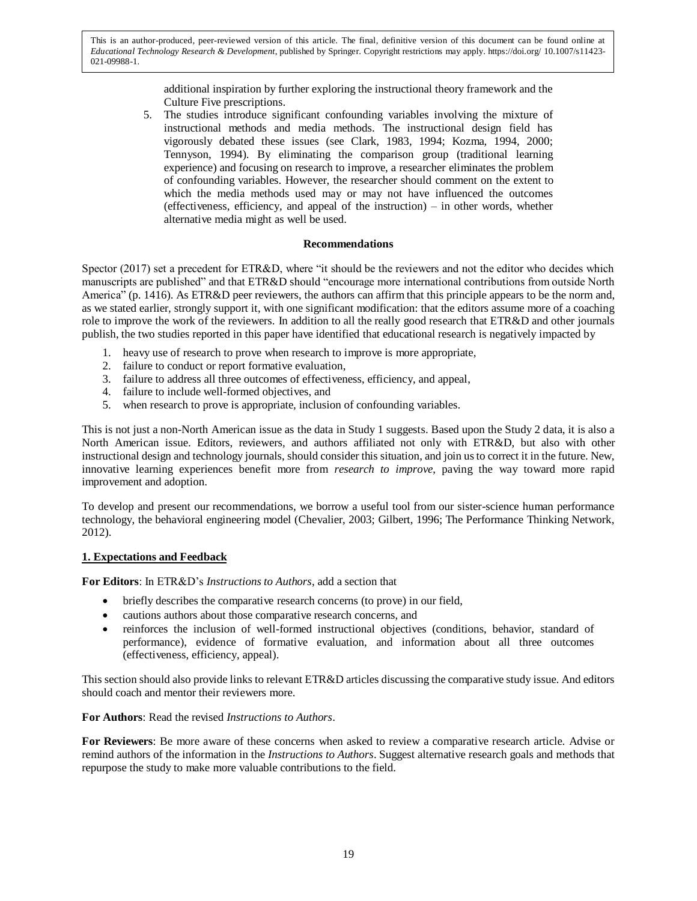> additional inspiration by further exploring the instructional theory framework and the Culture Five prescriptions.

5. The studies introduce significant confounding variables involving the mixture of instructional methods and media methods. The instructional design field has vigorously debated these issues (see Clark, 1983, 1994; Kozma, 1994, 2000; Tennyson, 1994). By eliminating the comparison group (traditional learning experience) and focusing on research to improve, a researcher eliminates the problem of confounding variables. However, the researcher should comment on the extent to which the media methods used may or may not have influenced the outcomes (effectiveness, efficiency, and appeal of the instruction) – in other words, whether alternative media might as well be used.

## **Recommendations**

Spector (2017) set a precedent for ETR&D, where "it should be the reviewers and not the editor who decides which manuscripts are published" and that ETR&D should "encourage more international contributions from outside North America" (p. 1416). As ETR&D peer reviewers, the authors can affirm that this principle appears to be the norm and, as we stated earlier, strongly support it, with one significant modification: that the editors assume more of a coaching role to improve the work of the reviewers. In addition to all the really good research that ETR&D and other journals publish, the two studies reported in this paper have identified that educational research is negatively impacted by

- 1. heavy use of research to prove when research to improve is more appropriate*,*
- 2. failure to conduct or report formative evaluation,
- 3. failure to address all three outcomes of effectiveness, efficiency, and appeal,
- 4. failure to include well-formed objectives, and
- 5. when research to prove is appropriate, inclusion of confounding variables.

This is not just a non-North American issue as the data in Study 1 suggests. Based upon the Study 2 data, it is also a North American issue. Editors, reviewers, and authors affiliated not only with ETR&D, but also with other instructional design and technology journals, should consider this situation, and join usto correct it in the future. New, innovative learning experiences benefit more from *research to improve*, paving the way toward more rapid improvement and adoption.

To develop and present our recommendations, we borrow a useful tool from our sister-science human performance technology, the behavioral engineering model (Chevalier, 2003; Gilbert, 1996; The Performance Thinking Network, 2012).

## **1. Expectations and Feedback**

**For Editors**: In ETR&D's *Instructions to Authors*, add a section that

- briefly describes the comparative research concerns (to prove) in our field,
- cautions authors about those comparative research concerns, and
- reinforces the inclusion of well-formed instructional objectives (conditions, behavior, standard of performance), evidence of formative evaluation, and information about all three outcomes (effectiveness, efficiency, appeal).

This section should also provide links to relevant ETR&D articles discussing the comparative study issue. And editors should coach and mentor their reviewers more.

## **For Authors**: Read the revised *Instructions to Authors*.

**For Reviewers**: Be more aware of these concerns when asked to review a comparative research article. Advise or remind authors of the information in the *Instructions to Authors*. Suggest alternative research goals and methods that repurpose the study to make more valuable contributions to the field.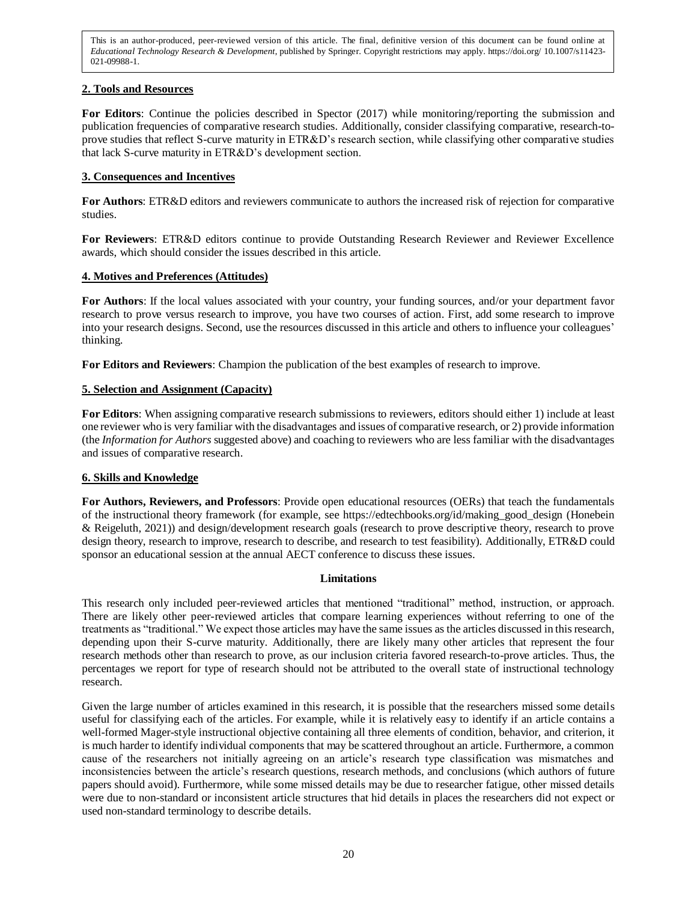## **2. Tools and Resources**

For Editors: Continue the policies described in Spector (2017) while monitoring/reporting the submission and publication frequencies of comparative research studies. Additionally, consider classifying comparative, research-toprove studies that reflect S-curve maturity in ETR&D's research section, while classifying other comparative studies that lack S-curve maturity in ETR&D's development section.

## **3. Consequences and Incentives**

**For Authors**: ETR&D editors and reviewers communicate to authors the increased risk of rejection for comparative studies.

**For Reviewers**: ETR&D editors continue to provide Outstanding Research Reviewer and Reviewer Excellence awards, which should consider the issues described in this article.

## **4. Motives and Preferences (Attitudes)**

**For Authors**: If the local values associated with your country, your funding sources, and/or your department favor research to prove versus research to improve, you have two courses of action. First, add some research to improve into your research designs. Second, use the resources discussed in this article and others to influence your colleagues' thinking.

**For Editors and Reviewers**: Champion the publication of the best examples of research to improve.

## **5. Selection and Assignment (Capacity)**

**For Editors**: When assigning comparative research submissions to reviewers, editors should either 1) include at least one reviewer who is very familiar with the disadvantages and issues of comparative research, or 2) provide information (the *Information for Authors* suggested above) and coaching to reviewers who are less familiar with the disadvantages and issues of comparative research.

## **6. Skills and Knowledge**

**For Authors, Reviewers, and Professors**: Provide open educational resources (OERs) that teach the fundamentals of the instructional theory framework (for example, see https://edtechbooks.org/id/making\_good\_design (Honebein & Reigeluth, 2021)) and design/development research goals (research to prove descriptive theory, research to prove design theory, research to improve, research to describe, and research to test feasibility). Additionally, ETR&D could sponsor an educational session at the annual AECT conference to discuss these issues.

## **Limitations**

This research only included peer-reviewed articles that mentioned "traditional" method, instruction, or approach. There are likely other peer-reviewed articles that compare learning experiences without referring to one of the treatments as "traditional." We expect those articles may have the same issues as the articles discussed in this research, depending upon their S-curve maturity. Additionally, there are likely many other articles that represent the four research methods other than research to prove, as our inclusion criteria favored research-to-prove articles. Thus, the percentages we report for type of research should not be attributed to the overall state of instructional technology research.

Given the large number of articles examined in this research, it is possible that the researchers missed some details useful for classifying each of the articles. For example, while it is relatively easy to identify if an article contains a well-formed Mager-style instructional objective containing all three elements of condition, behavior, and criterion, it is much harder to identify individual components that may be scattered throughout an article. Furthermore, a common cause of the researchers not initially agreeing on an article's research type classification was mismatches and inconsistencies between the article's research questions, research methods, and conclusions (which authors of future papers should avoid). Furthermore, while some missed details may be due to researcher fatigue, other missed details were due to non-standard or inconsistent article structures that hid details in places the researchers did not expect or used non-standard terminology to describe details.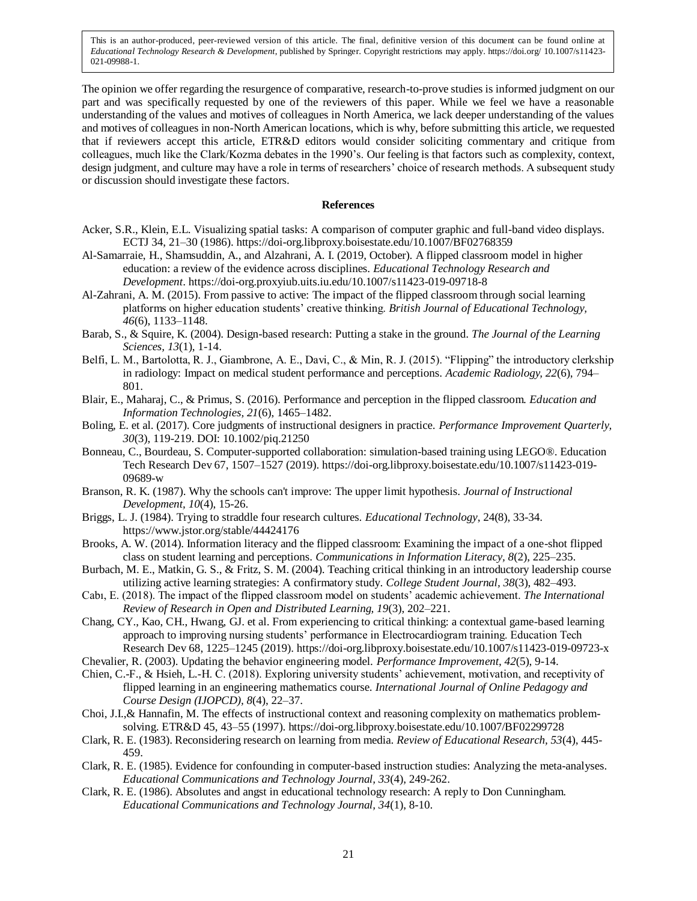The opinion we offer regarding the resurgence of comparative, research-to-prove studies is informed judgment on our part and was specifically requested by one of the reviewers of this paper. While we feel we have a reasonable understanding of the values and motives of colleagues in North America, we lack deeper understanding of the values and motives of colleagues in non-North American locations, which is why, before submitting this article, we requested that if reviewers accept this article, ETR&D editors would consider soliciting commentary and critique from colleagues, much like the Clark/Kozma debates in the 1990's. Our feeling is that factors such as complexity, context, design judgment, and culture may have a role in terms of researchers' choice of research methods. A subsequent study or discussion should investigate these factors.

#### **References**

- Acker, S.R., Klein, E.L. Visualizing spatial tasks: A comparison of computer graphic and full-band video displays. ECTJ 34, 21–30 (1986). https://doi-org.libproxy.boisestate.edu/10.1007/BF02768359
- Al-Samarraie, H., Shamsuddin, A., and Alzahrani, A. I. (2019, October). A flipped classroom model in higher education: a review of the evidence across disciplines. *Educational Technology Research and Development*. https://doi-org.proxyiub.uits.iu.edu/10.1007/s11423-019-09718-8
- Al-Zahrani, A. M. (2015). From passive to active: The impact of the flipped classroom through social learning platforms on higher education students' creative thinking. *British Journal of Educational Technology, 46*(6), 1133–1148.
- Barab, S., & Squire, K. (2004). Design-based research: Putting a stake in the ground. *The Journal of the Learning Sciences, 13*(1), 1-14.
- Belfi, L. M., Bartolotta, R. J., Giambrone, A. E., Davi, C., & Min, R. J. (2015). "Flipping" the introductory clerkship in radiology: Impact on medical student performance and perceptions. *Academic Radiology, 22*(6), 794– 801.
- Blair, E., Maharaj, C., & Primus, S. (2016). Performance and perception in the flipped classroom. *Education and Information Technologies, 21*(6), 1465–1482.
- Boling, E. et al. (2017). Core judgments of instructional designers in practice. *Performance Improvement Quarterly, 30*(3), 119-219. DOI: 10.1002/piq.21250
- Bonneau, C., Bourdeau, S. Computer-supported collaboration: simulation-based training using LEGO®. Education Tech Research Dev 67, 1507–1527 (2019). https://doi-org.libproxy.boisestate.edu/10.1007/s11423-019- 09689-w
- Branson, R. K. (1987). Why the schools can't improve: The upper limit hypothesis. *Journal of Instructional Development, 10*(4), 15-26.
- Briggs, L. J. (1984). Trying to straddle four research cultures. *Educational Technology*, 24(8), 33-34. https://www.jstor.org/stable/44424176
- Brooks, A. W. (2014). Information literacy and the flipped classroom: Examining the impact of a one-shot flipped class on student learning and perceptions. *Communications in Information Literacy, 8*(2), 225–235.
- Burbach, M. E., Matkin, G. S., & Fritz, S. M. (2004). Teaching critical thinking in an introductory leadership course utilizing active learning strategies: A confirmatory study. *College Student Journal, 38*(3), 482–493.
- Cabı, E. (2018). The impact of the flipped classroom model on students' academic achievement. *The International Review of Research in Open and Distributed Learning, 19*(3), 202–221.
- Chang, CY., Kao, CH., Hwang, GJ. et al. From experiencing to critical thinking: a contextual game-based learning approach to improving nursing students' performance in Electrocardiogram training. Education Tech Research Dev 68, 1225–1245 (2019). https://doi-org.libproxy.boisestate.edu/10.1007/s11423-019-09723-x
- Chevalier, R. (2003). Updating the behavior engineering model. *Performance Improvement, 42*(5), 9-14.
- Chien, C.-F., & Hsieh, L.-H. C. (2018). Exploring university students' achievement, motivation, and receptivity of flipped learning in an engineering mathematics course. *International Journal of Online Pedagogy and Course Design (IJOPCD), 8*(4), 22–37.
- Choi, J.I.,& Hannafin, M. The effects of instructional context and reasoning complexity on mathematics problemsolving. ETR&D 45, 43–55 (1997). https://doi-org.libproxy.boisestate.edu/10.1007/BF02299728
- Clark, R. E. (1983). Reconsidering research on learning from media. *Review of Educational Research, 53*(4), 445- 459.
- Clark, R. E. (1985). Evidence for confounding in computer-based instruction studies: Analyzing the meta-analyses. *Educational Communications and Technology Journal, 33*(4), 249-262.
- Clark, R. E. (1986). Absolutes and angst in educational technology research: A reply to Don Cunningham. *Educational Communications and Technology Journal, 34*(1), 8-10.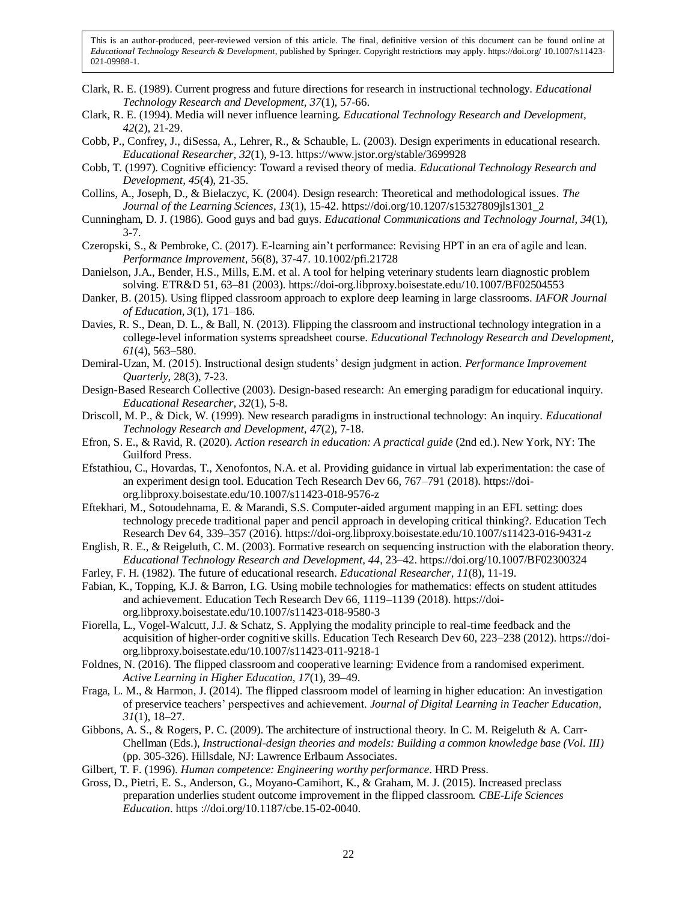- Clark, R. E. (1989). Current progress and future directions for research in instructional technology. *Educational Technology Research and Development, 37*(1), 57-66.
- Clark, R. E. (1994). Media will never influence learning. *Educational Technology Research and Development, 42*(2), 21-29.
- Cobb, P., Confrey, J., diSessa, A., Lehrer, R., & Schauble, L. (2003). Design experiments in educational research. *Educational Researcher, 32*(1), 9-13. https://www.jstor.org/stable/3699928
- Cobb, T. (1997). Cognitive efficiency: Toward a revised theory of media. *Educational Technology Research and Development, 45*(4), 21-35.
- Collins, A., Joseph, D., & Bielaczyc, K. (2004). Design research: Theoretical and methodological issues. *The Journal of the Learning Sciences*, *13*(1), 15-42. https://doi.org/10.1207/s15327809jls1301\_2
- Cunningham, D. J. (1986). Good guys and bad guys. *Educational Communications and Technology Journal, 34*(1), 3-7.
- Czeropski, S., & Pembroke, C. (2017). E-learning ain't performance: Revising HPT in an era of agile and lean. *Performance Improvement*, 56(8), 37-47. 10.1002/pfi.21728
- Danielson, J.A., Bender, H.S., Mills, E.M. et al. A tool for helping veterinary students learn diagnostic problem solving. ETR&D 51, 63–81 (2003). https://doi-org.libproxy.boisestate.edu/10.1007/BF02504553
- Danker, B. (2015). Using flipped classroom approach to explore deep learning in large classrooms. *IAFOR Journal of Education, 3*(1), 171–186.
- Davies, R. S., Dean, D. L., & Ball, N. (2013). Flipping the classroom and instructional technology integration in a college-level information systems spreadsheet course. *Educational Technology Research and Development, 61*(4), 563–580.
- Demiral-Uzan, M. (2015). Instructional design students' design judgment in action. *Performance Improvement Quarterly*, 28(3), 7-23.
- Design-Based Research Collective (2003). Design-based research: An emerging paradigm for educational inquiry. *Educational Researcher, 32*(1), 5-8.
- Driscoll, M. P., & Dick, W. (1999). New research paradigms in instructional technology: An inquiry. *Educational Technology Research and Development, 47*(2), 7-18.
- Efron, S. E., & Ravid, R. (2020). *Action research in education: A practical guide* (2nd ed.). New York, NY: The Guilford Press.
- Efstathiou, C., Hovardas, T., Xenofontos, N.A. et al. Providing guidance in virtual lab experimentation: the case of an experiment design tool. Education Tech Research Dev 66, 767–791 (2018). https://doiorg.libproxy.boisestate.edu/10.1007/s11423-018-9576-z
- Eftekhari, M., Sotoudehnama, E. & Marandi, S.S. Computer-aided argument mapping in an EFL setting: does technology precede traditional paper and pencil approach in developing critical thinking?. Education Tech Research Dev 64, 339–357 (2016). https://doi-org.libproxy.boisestate.edu/10.1007/s11423-016-9431-z
- English, R. E., & Reigeluth, C. M. (2003). Formative research on sequencing instruction with the elaboration theory. *Educational Technology Research and Development, 44*, 23–42. https://doi.org/10.1007/BF02300324
- Farley, F. H. (1982). The future of educational research. *Educational Researcher, 11*(8), 11-19.
- Fabian, K., Topping, K.J. & Barron, I.G. Using mobile technologies for mathematics: effects on student attitudes and achievement. Education Tech Research Dev 66, 1119–1139 (2018). https://doiorg.libproxy.boisestate.edu/10.1007/s11423-018-9580-3
- Fiorella, L., Vogel-Walcutt, J.J. & Schatz, S. Applying the modality principle to real-time feedback and the acquisition of higher-order cognitive skills. Education Tech Research Dev 60, 223–238 (2012). https://doiorg.libproxy.boisestate.edu/10.1007/s11423-011-9218-1
- Foldnes, N. (2016). The flipped classroom and cooperative learning: Evidence from a randomised experiment. *Active Learning in Higher Education, 17*(1), 39–49.
- Fraga, L. M., & Harmon, J. (2014). The flipped classroom model of learning in higher education: An investigation of preservice teachers' perspectives and achievement. *Journal of Digital Learning in Teacher Education, 31*(1), 18–27.
- Gibbons, A. S., & Rogers, P. C. (2009). The architecture of instructional theory. In C. M. Reigeluth & A. Carr-Chellman (Eds.), *Instructional-design theories and models: Building a common knowledge base (Vol. III)*  (pp. 305-326). Hillsdale, NJ: Lawrence Erlbaum Associates.
- Gilbert, T. F. (1996). *Human competence: Engineering worthy performance*. HRD Press.
- Gross, D., Pietri, E. S., Anderson, G., Moyano-Camihort, K., & Graham, M. J. (2015). Increased preclass preparation underlies student outcome improvement in the flipped classroom. *CBE-Life Sciences Education*. https ://doi.org/10.1187/cbe.15-02-0040.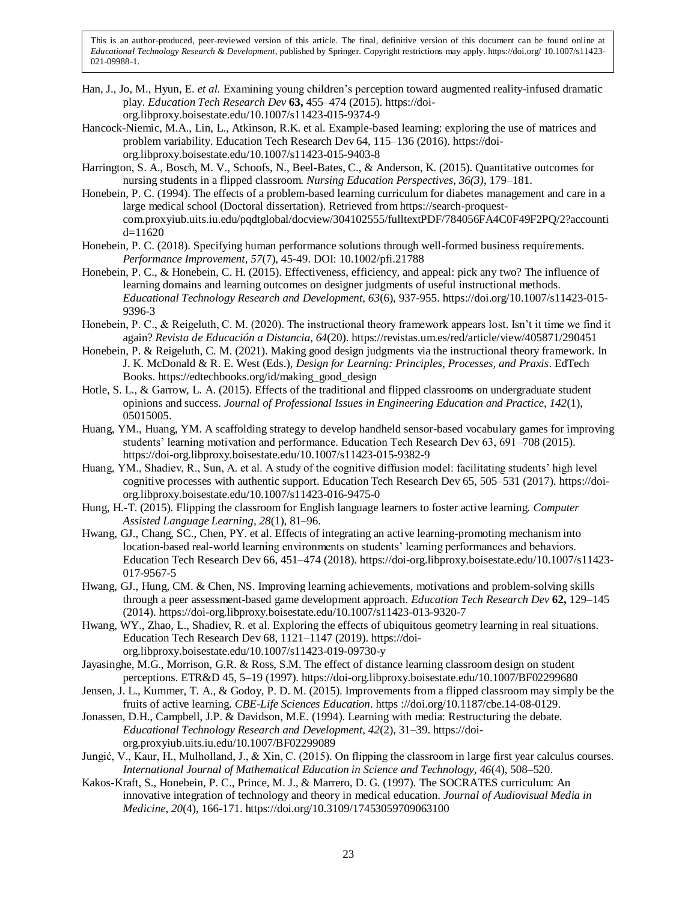- Han, J., Jo, M., Hyun, E. *et al.* Examining young children's perception toward augmented reality-infused dramatic play. *Education Tech Research Dev* **63,** 455–474 (2015). https://doiorg.libproxy.boisestate.edu/10.1007/s11423-015-9374-9
- Hancock-Niemic, M.A., Lin, L., Atkinson, R.K. et al. Example-based learning: exploring the use of matrices and problem variability. Education Tech Research Dev 64, 115–136 (2016). https://doiorg.libproxy.boisestate.edu/10.1007/s11423-015-9403-8
- Harrington, S. A., Bosch, M. V., Schoofs, N., Beel-Bates, C., & Anderson, K. (2015). Quantitative outcomes for nursing students in a flipped classroom. *Nursing Education Perspectives, 36(3)*, 179–181.
- Honebein, P. C. (1994). The effects of a problem-based learning curriculum for diabetes management and care in a large medical school (Doctoral dissertation). Retrieved from https://search-proquestcom.proxyiub.uits.iu.edu/pqdtglobal/docview/304102555/fulltextPDF/784056FA4C0F49F2PQ/2?accounti d=11620
- Honebein, P. C. (2018). Specifying human performance solutions through well-formed business requirements. *Performance Improvement, 57*(7), 45-49. DOI: 10.1002/pfi.21788
- Honebein, P. C., & Honebein, C. H. (2015). Effectiveness, efficiency, and appeal: pick any two? The influence of learning domains and learning outcomes on designer judgments of useful instructional methods. *Educational Technology Research and Development, 63*(6), 937-955. https://doi.org/10.1007/s11423-015- 9396-3
- Honebein, P. C., & Reigeluth, C. M. (2020). The instructional theory framework appears lost. Isn't it time we find it again? *Revista de Educación a Distancia, 64*(20). https://revistas.um.es/red/article/view/405871/290451
- Honebein, P. & Reigeluth, C. M. (2021). Making good design judgments via the instructional theory framework. In J. K. McDonald & R. E. West (Eds.), *Design for Learning: Principles, Processes, and Praxis*. EdTech Books. https://edtechbooks.org/id/making\_good\_design
- Hotle, S. L., & Garrow, L. A. (2015). Effects of the traditional and flipped classrooms on undergraduate student opinions and success. *Journal of Professional Issues in Engineering Education and Practice, 142*(1), 05015005.
- Huang, YM., Huang, YM. A scaffolding strategy to develop handheld sensor-based vocabulary games for improving students' learning motivation and performance. Education Tech Research Dev 63, 691–708 (2015). https://doi-org.libproxy.boisestate.edu/10.1007/s11423-015-9382-9
- Huang, YM., Shadiev, R., Sun, A. et al. A study of the cognitive diffusion model: facilitating students' high level cognitive processes with authentic support. Education Tech Research Dev 65, 505–531 (2017). https://doiorg.libproxy.boisestate.edu/10.1007/s11423-016-9475-0
- Hung, H.-T. (2015). Flipping the classroom for English language learners to foster active learning. *Computer Assisted Language Learning, 28*(1), 81–96.
- Hwang, GJ., Chang, SC., Chen, PY. et al. Effects of integrating an active learning-promoting mechanism into location-based real-world learning environments on students' learning performances and behaviors. Education Tech Research Dev 66, 451–474 (2018). https://doi-org.libproxy.boisestate.edu/10.1007/s11423- 017-9567-5
- Hwang, GJ., Hung, CM. & Chen, NS. Improving learning achievements, motivations and problem-solving skills through a peer assessment-based game development approach. *Education Tech Research Dev* **62,** 129–145 (2014). https://doi-org.libproxy.boisestate.edu/10.1007/s11423-013-9320-7
- Hwang, WY., Zhao, L., Shadiev, R. et al. Exploring the effects of ubiquitous geometry learning in real situations. Education Tech Research Dev 68, 1121–1147 (2019). https://doiorg.libproxy.boisestate.edu/10.1007/s11423-019-09730-y
- Jayasinghe, M.G., Morrison, G.R. & Ross, S.M. The effect of distance learning classroom design on student perceptions. ETR&D 45, 5–19 (1997). https://doi-org.libproxy.boisestate.edu/10.1007/BF02299680
- Jensen, J. L., Kummer, T. A., & Godoy, P. D. M. (2015). Improvements from a flipped classroom may simply be the fruits of active learning. *CBE-Life Sciences Education*. https ://doi.org/10.1187/cbe.14-08-0129.
- Jonassen, D.H., Campbell, J.P. & Davidson, M.E. (1994). Learning with media: Restructuring the debate. *Educational Technology Research and Development, 42*(2), 31–39. https://doiorg.proxyiub.uits.iu.edu/10.1007/BF02299089
- Jungić, V., Kaur, H., Mulholland, J., & Xin, C. (2015). On flipping the classroom in large first year calculus courses. *International Journal of Mathematical Education in Science and Technology, 46*(4), 508–520.
- Kakos-Kraft, S., Honebein, P. C., Prince, M. J., & Marrero, D. G. (1997). The SOCRATES curriculum: An innovative integration of technology and theory in medical education. *Journal of Audiovisual Media in Medicine, 20*(4), 166-171. https://doi.org/10.3109/17453059709063100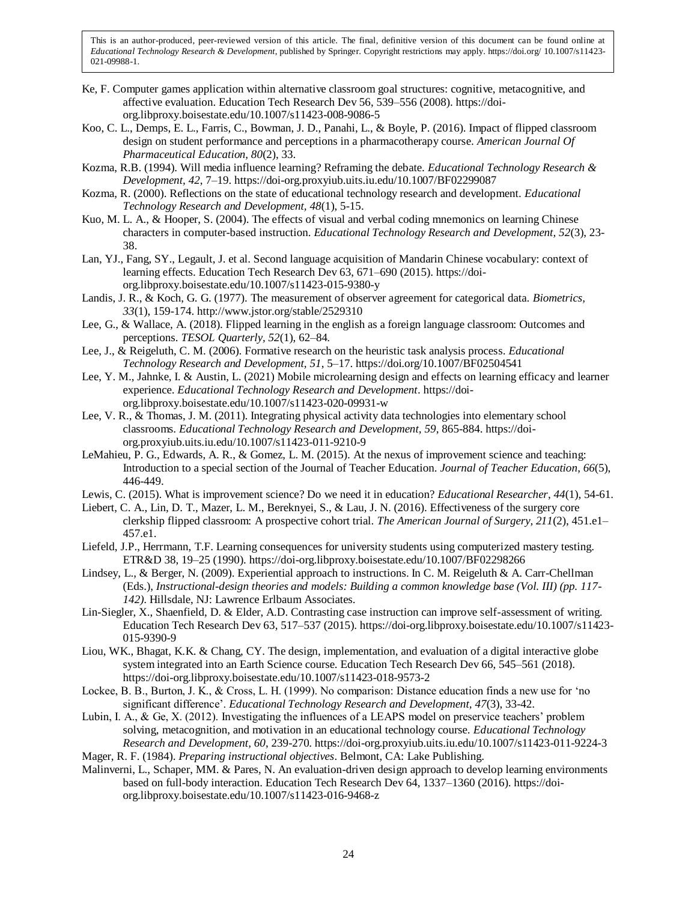- Ke, F. Computer games application within alternative classroom goal structures: cognitive, metacognitive, and affective evaluation. Education Tech Research Dev 56, 539–556 (2008). https://doiorg.libproxy.boisestate.edu/10.1007/s11423-008-9086-5
- Koo, C. L., Demps, E. L., Farris, C., Bowman, J. D., Panahi, L., & Boyle, P. (2016). Impact of flipped classroom design on student performance and perceptions in a pharmacotherapy course. *American Journal Of Pharmaceutical Education, 80*(2), 33.
- Kozma, R.B. (1994). Will media influence learning? Reframing the debate. *Educational Technology Research & Development, 42*, 7–19. https://doi-org.proxyiub.uits.iu.edu/10.1007/BF02299087
- Kozma, R. (2000). Reflections on the state of educational technology research and development. *Educational Technology Research and Development, 48*(1), 5-15.
- Kuo, M. L. A., & Hooper, S. (2004). The effects of visual and verbal coding mnemonics on learning Chinese characters in computer-based instruction. *Educational Technology Research and Development, 52*(3), 23- 38.
- Lan, YJ., Fang, SY., Legault, J. et al. Second language acquisition of Mandarin Chinese vocabulary: context of learning effects. Education Tech Research Dev 63, 671–690 (2015). https://doiorg.libproxy.boisestate.edu/10.1007/s11423-015-9380-y
- Landis, J. R., & Koch, G. G. (1977). The measurement of observer agreement for categorical data. *Biometrics, 33*(1), 159-174. http://www.jstor.org/stable/2529310
- Lee, G., & Wallace, A. (2018). Flipped learning in the english as a foreign language classroom: Outcomes and perceptions. *TESOL Quarterly, 52*(1), 62–84.
- Lee, J., & Reigeluth, C. M. (2006). Formative research on the heuristic task analysis process. *Educational Technology Research and Development, 51*, 5–17. https://doi.org/10.1007/BF02504541
- Lee, Y. M., Jahnke, I. & Austin, L. (2021) Mobile microlearning design and effects on learning efficacy and learner experience. *Educational Technology Research and Development*. https://doiorg.libproxy.boisestate.edu/10.1007/s11423-020-09931-w
- Lee, V. R., & Thomas, J. M. (2011). Integrating physical activity data technologies into elementary school classrooms. *Educational Technology Research and Development, 59*, 865-884. https://doiorg.proxyiub.uits.iu.edu/10.1007/s11423-011-9210-9
- LeMahieu, P. G., Edwards, A. R., & Gomez, L. M. (2015). At the nexus of improvement science and teaching: Introduction to a special section of the Journal of Teacher Education. *Journal of Teacher Education*, *66*(5), 446-449.
- Lewis, C. (2015). What is improvement science? Do we need it in education? *Educational Researcher*, *44*(1), 54-61.
- Liebert, C. A., Lin, D. T., Mazer, L. M., Bereknyei, S., & Lau, J. N. (2016). Effectiveness of the surgery core clerkship flipped classroom: A prospective cohort trial. *The American Journal of Surgery, 211*(2), 451.e1– 457.e1.
- Liefeld, J.P., Herrmann, T.F. Learning consequences for university students using computerized mastery testing. ETR&D 38, 19–25 (1990). https://doi-org.libproxy.boisestate.edu/10.1007/BF02298266
- Lindsey, L., & Berger, N. (2009). Experiential approach to instructions. In C. M. Reigeluth & A. Carr-Chellman (Eds.), *Instructional-design theories and models: Building a common knowledge base (Vol. III) (pp. 117- 142)*. Hillsdale, NJ: Lawrence Erlbaum Associates.
- Lin-Siegler, X., Shaenfield, D. & Elder, A.D. Contrasting case instruction can improve self-assessment of writing. Education Tech Research Dev 63, 517–537 (2015). https://doi-org.libproxy.boisestate.edu/10.1007/s11423- 015-9390-9
- Liou, WK., Bhagat, K.K. & Chang, CY. The design, implementation, and evaluation of a digital interactive globe system integrated into an Earth Science course. Education Tech Research Dev 66, 545–561 (2018). https://doi-org.libproxy.boisestate.edu/10.1007/s11423-018-9573-2
- Lockee, B. B., Burton, J. K., & Cross, L. H. (1999). No comparison: Distance education finds a new use for 'no significant difference'. *Educational Technology Research and Development, 47*(3), 33-42.
- Lubin, I. A., & Ge, X. (2012). Investigating the influences of a LEAPS model on preservice teachers' problem solving, metacognition, and motivation in an educational technology course. *Educational Technology Research and Development, 60*, 239-270. https://doi-org.proxyiub.uits.iu.edu/10.1007/s11423-011-9224-3
- Mager, R. F. (1984). *Preparing instructional objectives*. Belmont, CA: Lake Publishing.
- Malinverni, L., Schaper, MM. & Pares, N. An evaluation-driven design approach to develop learning environments based on full-body interaction. Education Tech Research Dev 64, 1337–1360 (2016). https://doiorg.libproxy.boisestate.edu/10.1007/s11423-016-9468-z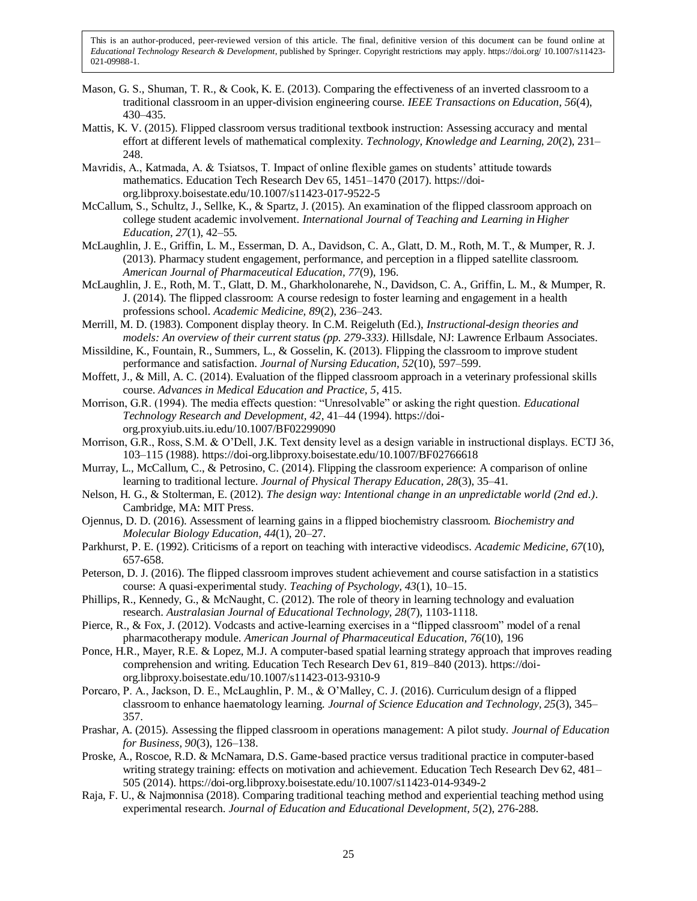- Mason, G. S., Shuman, T. R., & Cook, K. E. (2013). Comparing the effectiveness of an inverted classroom to a traditional classroom in an upper-division engineering course. *IEEE Transactions on Education, 56*(4), 430–435.
- Mattis, K. V. (2015). Flipped classroom versus traditional textbook instruction: Assessing accuracy and mental effort at different levels of mathematical complexity. *Technology, Knowledge and Learning, 20*(2), 231– 248.
- Mavridis, A., Katmada, A. & Tsiatsos, T. Impact of online flexible games on students' attitude towards mathematics. Education Tech Research Dev 65, 1451–1470 (2017). https://doiorg.libproxy.boisestate.edu/10.1007/s11423-017-9522-5
- McCallum, S., Schultz, J., Sellke, K., & Spartz, J. (2015). An examination of the flipped classroom approach on college student academic involvement. *International Journal of Teaching and Learning in Higher Education, 27*(1), 42–55.
- McLaughlin, J. E., Griffin, L. M., Esserman, D. A., Davidson, C. A., Glatt, D. M., Roth, M. T., & Mumper, R. J. (2013). Pharmacy student engagement, performance, and perception in a flipped satellite classroom. *American Journal of Pharmaceutical Education, 77*(9), 196.
- McLaughlin, J. E., Roth, M. T., Glatt, D. M., Gharkholonarehe, N., Davidson, C. A., Griffin, L. M., & Mumper, R. J. (2014). The flipped classroom: A course redesign to foster learning and engagement in a health professions school. *Academic Medicine, 89*(2), 236–243.
- Merrill, M. D. (1983). Component display theory. In C.M. Reigeluth (Ed.), *Instructional-design theories and models: An overview of their current status (pp. 279-333)*. Hillsdale, NJ: Lawrence Erlbaum Associates.
- Missildine, K., Fountain, R., Summers, L., & Gosselin, K. (2013). Flipping the classroom to improve student performance and satisfaction. *Journal of Nursing Education, 52*(10), 597–599.
- Moffett, J., & Mill, A. C. (2014). Evaluation of the flipped classroom approach in a veterinary professional skills course. *Advances in Medical Education and Practice, 5*, 415.
- Morrison, G.R. (1994). The media effects question: "Unresolvable" or asking the right question. *Educational Technology Research and Development, 42*, 41–44 (1994). https://doiorg.proxyiub.uits.iu.edu/10.1007/BF02299090
- Morrison, G.R., Ross, S.M. & O'Dell, J.K. Text density level as a design variable in instructional displays. ECTJ 36, 103–115 (1988). https://doi-org.libproxy.boisestate.edu/10.1007/BF02766618
- Murray, L., McCallum, C., & Petrosino, C. (2014). Flipping the classroom experience: A comparison of online learning to traditional lecture. *Journal of Physical Therapy Education, 28*(3), 35–41.
- Nelson, H. G., & Stolterman, E. (2012). *The design way: Intentional change in an unpredictable world (2nd ed.)*. Cambridge, MA: MIT Press.
- Ojennus, D. D. (2016). Assessment of learning gains in a flipped biochemistry classroom. *Biochemistry and Molecular Biology Education, 44*(1), 20–27.
- Parkhurst, P. E. (1992). Criticisms of a report on teaching with interactive videodiscs. *Academic Medicine, 67*(10), 657-658.
- Peterson, D. J. (2016). The flipped classroom improves student achievement and course satisfaction in a statistics course: A quasi-experimental study. *Teaching of Psychology, 43*(1), 10–15.
- Phillips, R., Kennedy, G., & McNaught, C. (2012). The role of theory in learning technology and evaluation research. *Australasian Journal of Educational Technology, 28*(7), 1103-1118.
- Pierce, R., & Fox, J. (2012). Vodcasts and active-learning exercises in a "flipped classroom" model of a renal pharmacotherapy module. *American Journal of Pharmaceutical Education, 76*(10), 196
- Ponce, H.R., Mayer, R.E. & Lopez, M.J. A computer-based spatial learning strategy approach that improves reading comprehension and writing. Education Tech Research Dev 61, 819–840 (2013). https://doiorg.libproxy.boisestate.edu/10.1007/s11423-013-9310-9
- Porcaro, P. A., Jackson, D. E., McLaughlin, P. M., & O'Malley, C. J. (2016). Curriculum design of a flipped classroom to enhance haematology learning. *Journal of Science Education and Technology, 25*(3), 345– 357.
- Prashar, A. (2015). Assessing the flipped classroom in operations management: A pilot study. *Journal of Education for Business, 90*(3), 126–138.
- Proske, A., Roscoe, R.D. & McNamara, D.S. Game-based practice versus traditional practice in computer-based writing strategy training: effects on motivation and achievement. Education Tech Research Dev 62, 481– 505 (2014). https://doi-org.libproxy.boisestate.edu/10.1007/s11423-014-9349-2
- Raja, F. U., & Najmonnisa (2018). Comparing traditional teaching method and experiential teaching method using experimental research. *Journal of Education and Educational Development, 5*(2), 276-288.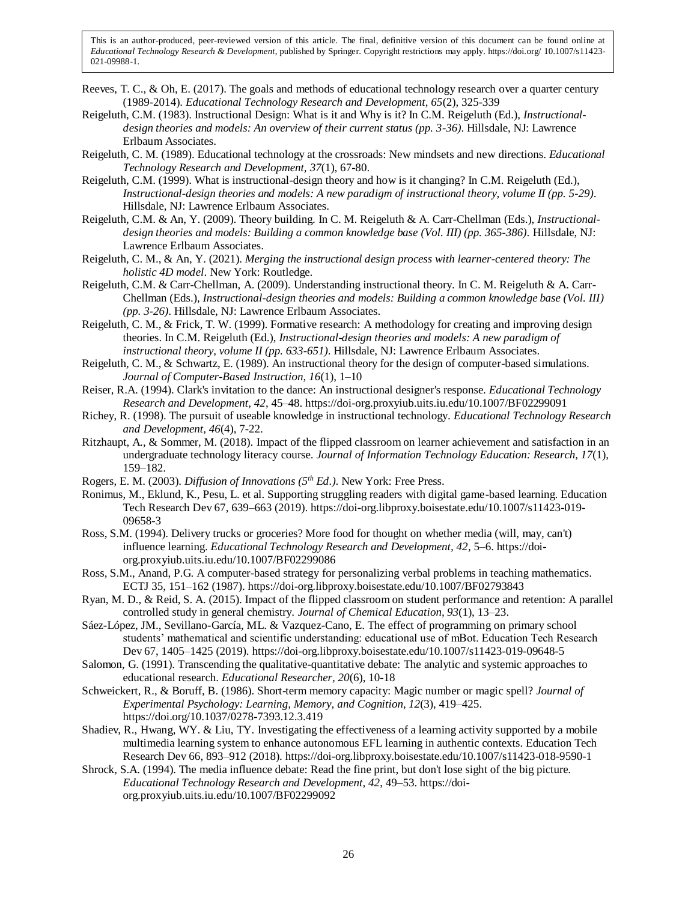- Reeves, T. C., & Oh, E. (2017). The goals and methods of educational technology research over a quarter century (1989-2014). *Educational Technology Research and Development, 65*(2), 325-339
- Reigeluth, C.M. (1983). Instructional Design: What is it and Why is it? In C.M. Reigeluth (Ed.), *Instructionaldesign theories and models: An overview of their current status (pp. 3-36)*. Hillsdale, NJ: Lawrence Erlbaum Associates.
- Reigeluth, C. M. (1989). Educational technology at the crossroads: New mindsets and new directions. *Educational Technology Research and Development, 37*(1), 67-80.
- Reigeluth, C.M. (1999). What is instructional-design theory and how is it changing? In C.M. Reigeluth (Ed.), *Instructional-design theories and models: A new paradigm of instructional theory, volume II (pp. 5-29)*. Hillsdale, NJ: Lawrence Erlbaum Associates.
- Reigeluth, C.M. & An, Y. (2009). Theory building. In C. M. Reigeluth & A. Carr-Chellman (Eds.), *Instructionaldesign theories and models: Building a common knowledge base (Vol. III) (pp. 365-386)*. Hillsdale, NJ: Lawrence Erlbaum Associates.
- Reigeluth, C. M., & An, Y. (2021). *Merging the instructional design process with learner-centered theory: The holistic 4D model*. New York: Routledge.
- Reigeluth, C.M. & Carr-Chellman, A. (2009). Understanding instructional theory. In C. M. Reigeluth & A. Carr-Chellman (Eds.), *Instructional-design theories and models: Building a common knowledge base (Vol. III) (pp. 3-26)*. Hillsdale, NJ: Lawrence Erlbaum Associates.
- Reigeluth, C. M., & Frick, T. W. (1999). Formative research: A methodology for creating and improving design theories. In C.M. Reigeluth (Ed.), *Instructional-design theories and models: A new paradigm of instructional theory, volume II (pp. 633-651)*. Hillsdale, NJ: Lawrence Erlbaum Associates.
- Reigeluth, C. M., & Schwartz, E. (1989). An instructional theory for the design of computer-based simulations. *Journal of Computer-Based Instruction, 16*(1), 1–10
- Reiser, R.A. (1994). Clark's invitation to the dance: An instructional designer's response. *Educational Technology Research and Development, 42*, 45–48. https://doi-org.proxyiub.uits.iu.edu/10.1007/BF02299091
- Richey, R. (1998). The pursuit of useable knowledge in instructional technology. *Educational Technology Research and Development, 46*(4), 7-22.
- Ritzhaupt, A., & Sommer, M. (2018). Impact of the flipped classroom on learner achievement and satisfaction in an undergraduate technology literacy course. *Journal of Information Technology Education: Research, 17*(1), 159–182.
- Rogers, E. M. (2003). *Diffusion of Innovations (5th Ed.)*. New York: Free Press.
- Ronimus, M., Eklund, K., Pesu, L. et al. Supporting struggling readers with digital game-based learning. Education Tech Research Dev 67, 639–663 (2019). https://doi-org.libproxy.boisestate.edu/10.1007/s11423-019- 09658-3
- Ross, S.M. (1994). Delivery trucks or groceries? More food for thought on whether media (will, may, can't) influence learning. *Educational Technology Research and Development, 42*, 5–6. https://doiorg.proxyiub.uits.iu.edu/10.1007/BF02299086
- Ross, S.M., Anand, P.G. A computer-based strategy for personalizing verbal problems in teaching mathematics. ECTJ 35, 151–162 (1987). https://doi-org.libproxy.boisestate.edu/10.1007/BF02793843
- Ryan, M. D., & Reid, S. A. (2015). Impact of the flipped classroom on student performance and retention: A parallel controlled study in general chemistry. *Journal of Chemical Education, 93*(1), 13–23.
- Sáez-López, JM., Sevillano-García, ML. & Vazquez-Cano, E. The effect of programming on primary school students' mathematical and scientific understanding: educational use of mBot. Education Tech Research Dev 67, 1405–1425 (2019). https://doi-org.libproxy.boisestate.edu/10.1007/s11423-019-09648-5
- Salomon, G. (1991). Transcending the qualitative-quantitative debate: The analytic and systemic approaches to educational research. *Educational Researcher, 20*(6), 10-18
- Schweickert, R., & Boruff, B. (1986). Short-term memory capacity: Magic number or magic spell? *Journal of Experimental Psychology: Learning, Memory, and Cognition, 12*(3), 419–425. https://doi.org/10.1037/0278-7393.12.3.419
- Shadiev, R., Hwang, WY. & Liu, TY. Investigating the effectiveness of a learning activity supported by a mobile multimedia learning system to enhance autonomous EFL learning in authentic contexts. Education Tech Research Dev 66, 893–912 (2018). https://doi-org.libproxy.boisestate.edu/10.1007/s11423-018-9590-1
- Shrock, S.A. (1994). The media influence debate: Read the fine print, but don't lose sight of the big picture. *Educational Technology Research and Development, 42*, 49–53. https://doiorg.proxyiub.uits.iu.edu/10.1007/BF02299092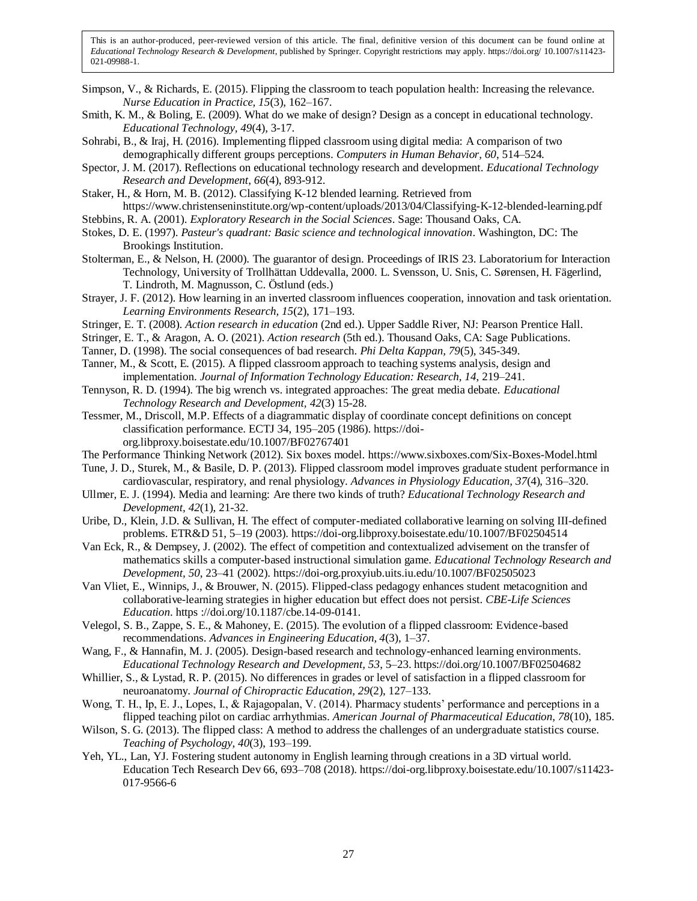- Simpson, V., & Richards, E. (2015). Flipping the classroom to teach population health: Increasing the relevance. *Nurse Education in Practice, 15*(3), 162–167.
- Smith, K. M., & Boling, E. (2009). What do we make of design? Design as a concept in educational technology. *Educational Technology, 49*(4), 3-17.
- Sohrabi, B., & Iraj, H. (2016). Implementing flipped classroom using digital media: A comparison of two demographically different groups perceptions. *Computers in Human Behavior, 60*, 514–524.
- Spector, J. M. (2017). Reflections on educational technology research and development. *Educational Technology Research and Development*, *66*(4), 893-912.
- Staker, H., & Horn, M. B. (2012). Classifying K-12 blended learning. Retrieved from https://www.christenseninstitute.org/wp-content/uploads/2013/04/Classifying-K-12-blended-learning.pdf
- Stebbins, R. A. (2001). *Exploratory Research in the Social Sciences*. Sage: Thousand Oaks, CA.
- Stokes, D. E. (1997). *Pasteur's quadrant: Basic science and technological innovation*. Washington, DC: The Brookings Institution.
- Stolterman, E., & Nelson, H. (2000). The guarantor of design. Proceedings of IRIS 23. Laboratorium for Interaction Technology, University of Trollhättan Uddevalla, 2000. L. Svensson, U. Snis, C. Sørensen, H. Fägerlind, T. Lindroth, M. Magnusson, C. Östlund (eds.)
- Strayer, J. F. (2012). How learning in an inverted classroom influences cooperation, innovation and task orientation. *Learning Environments Research, 15*(2), 171–193.
- Stringer, E. T. (2008). *Action research in education* (2nd ed.). Upper Saddle River, NJ: Pearson Prentice Hall.
- Stringer, E. T., & Aragon, A. O. (2021). *Action research* (5th ed.). Thousand Oaks, CA: Sage Publications.
- Tanner, D. (1998). The social consequences of bad research. *Phi Delta Kappan, 79*(5), 345-349.
- Tanner, M., & Scott, E. (2015). A flipped classroom approach to teaching systems analysis, design and implementation. *Journal of Information Technology Education: Research, 14*, 219–241.
- Tennyson, R. D. (1994). The big wrench vs. integrated approaches: The great media debate. *Educational Technology Research and Development, 42*(3) 15-28.
- Tessmer, M., Driscoll, M.P. Effects of a diagrammatic display of coordinate concept definitions on concept classification performance. ECTJ 34, 195–205 (1986). https://doiorg.libproxy.boisestate.edu/10.1007/BF02767401
- The Performance Thinking Network (2012). Six boxes model. https://www.sixboxes.com/Six-Boxes-Model.html
- Tune, J. D., Sturek, M., & Basile, D. P. (2013). Flipped classroom model improves graduate student performance in cardiovascular, respiratory, and renal physiology. *Advances in Physiology Education, 37*(4), 316–320.
- Ullmer, E. J. (1994). Media and learning: Are there two kinds of truth? *Educational Technology Research and Development, 42*(1), 21-32.
- Uribe, D., Klein, J.D. & Sullivan, H. The effect of computer-mediated collaborative learning on solving III-defined problems. ETR&D 51, 5–19 (2003). https://doi-org.libproxy.boisestate.edu/10.1007/BF02504514
- Van Eck, R., & Dempsey, J. (2002). The effect of competition and contextualized advisement on the transfer of mathematics skills a computer-based instructional simulation game. *Educational Technology Research and Development, 50*, 23–41 (2002). https://doi-org.proxyiub.uits.iu.edu/10.1007/BF02505023
- Van Vliet, E., Winnips, J., & Brouwer, N. (2015). Flipped-class pedagogy enhances student metacognition and collaborative-learning strategies in higher education but effect does not persist. *CBE-Life Sciences Education*. https ://doi.org/10.1187/cbe.14-09-0141.
- Velegol, S. B., Zappe, S. E., & Mahoney, E. (2015). The evolution of a flipped classroom: Evidence-based recommendations. *Advances in Engineering Education, 4*(3), 1–37.
- Wang, F., & Hannafin, M. J. (2005). Design-based research and technology-enhanced learning environments. *Educational Technology Research and Development, 53*, 5–23. https://doi.org/10.1007/BF02504682
- Whillier, S., & Lystad, R. P. (2015). No differences in grades or level of satisfaction in a flipped classroom for neuroanatomy. *Journal of Chiropractic Education, 29*(2), 127–133.
- Wong, T. H., Ip, E. J., Lopes, I., & Rajagopalan, V. (2014). Pharmacy students' performance and perceptions in a flipped teaching pilot on cardiac arrhythmias. *American Journal of Pharmaceutical Education, 78*(10), 185.
- Wilson, S. G. (2013). The flipped class: A method to address the challenges of an undergraduate statistics course. *Teaching of Psychology, 40*(3), 193–199.
- Yeh, YL., Lan, YJ. Fostering student autonomy in English learning through creations in a 3D virtual world. Education Tech Research Dev 66, 693–708 (2018). https://doi-org.libproxy.boisestate.edu/10.1007/s11423- 017-9566-6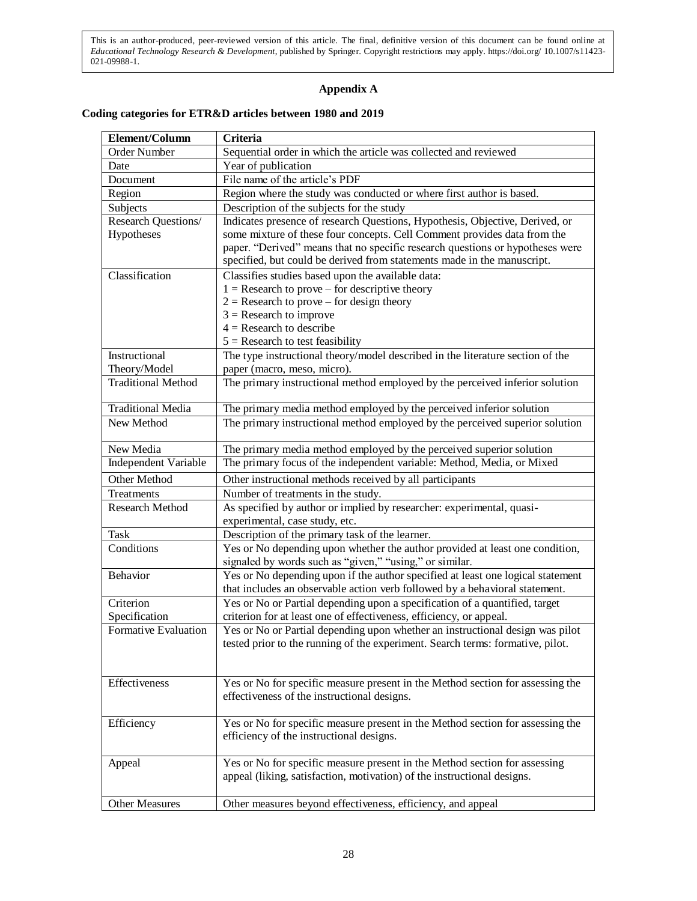## **Appendix A**

## **Coding categories for ETR&D articles between 1980 and 2019**

| Element/Column            | Criteria                                                                        |
|---------------------------|---------------------------------------------------------------------------------|
| Order Number              | Sequential order in which the article was collected and reviewed                |
| Date                      | Year of publication                                                             |
| Document                  | File name of the article's PDF                                                  |
| Region                    | Region where the study was conducted or where first author is based.            |
| Subjects                  | Description of the subjects for the study                                       |
| Research Questions/       | Indicates presence of research Questions, Hypothesis, Objective, Derived, or    |
| Hypotheses                | some mixture of these four concepts. Cell Comment provides data from the        |
|                           | paper. "Derived" means that no specific research questions or hypotheses were   |
|                           | specified, but could be derived from statements made in the manuscript.         |
| Classification            | Classifies studies based upon the available data:                               |
|                           | $1 =$ Research to prove – for descriptive theory                                |
|                           | $2 =$ Research to prove – for design theory                                     |
|                           | $3 =$ Research to improve                                                       |
|                           | $4 =$ Research to describe                                                      |
|                           | $5 =$ Research to test feasibility                                              |
| Instructional             | The type instructional theory/model described in the literature section of the  |
| Theory/Model              | paper (macro, meso, micro).                                                     |
| <b>Traditional Method</b> | The primary instructional method employed by the perceived inferior solution    |
| <b>Traditional Media</b>  | The primary media method employed by the perceived inferior solution            |
| New Method                | The primary instructional method employed by the perceived superior solution    |
| New Media                 | The primary media method employed by the perceived superior solution            |
| Independent Variable      | The primary focus of the independent variable: Method, Media, or Mixed          |
| Other Method              | Other instructional methods received by all participants                        |
| Treatments                | Number of treatments in the study.                                              |
| <b>Research Method</b>    | As specified by author or implied by researcher: experimental, quasi-           |
|                           | experimental, case study, etc.                                                  |
| Task                      | Description of the primary task of the learner.                                 |
| Conditions                | Yes or No depending upon whether the author provided at least one condition,    |
|                           | signaled by words such as "given," "using," or similar.                         |
| Behavior                  | Yes or No depending upon if the author specified at least one logical statement |
|                           | that includes an observable action verb followed by a behavioral statement.     |
| Criterion                 | Yes or No or Partial depending upon a specification of a quantified, target     |
| Specification             | criterion for at least one of effectiveness, efficiency, or appeal.             |
| Formative Evaluation      | Yes or No or Partial depending upon whether an instructional design was pilot   |
|                           | tested prior to the running of the experiment. Search terms: formative, pilot.  |
|                           |                                                                                 |
| Effectiveness             | Yes or No for specific measure present in the Method section for assessing the  |
|                           | effectiveness of the instructional designs.                                     |
|                           |                                                                                 |
| Efficiency                | Yes or No for specific measure present in the Method section for assessing the  |
|                           | efficiency of the instructional designs.                                        |
|                           |                                                                                 |
| Appeal                    | Yes or No for specific measure present in the Method section for assessing      |
|                           | appeal (liking, satisfaction, motivation) of the instructional designs.         |
|                           |                                                                                 |
| <b>Other Measures</b>     | Other measures beyond effectiveness, efficiency, and appeal                     |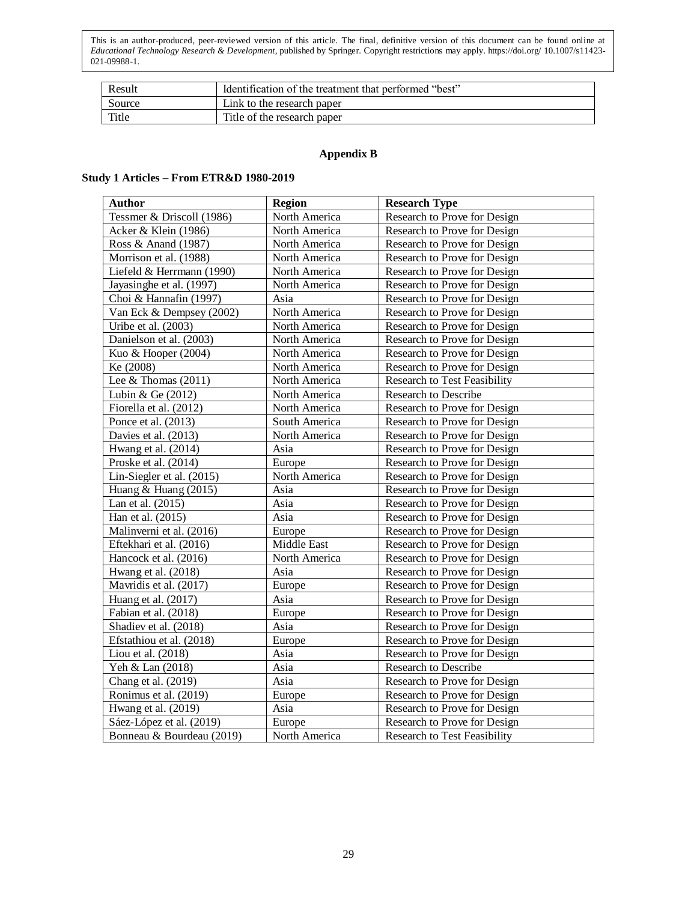| Result | Identification of the treatment that performed "best" |
|--------|-------------------------------------------------------|
| Source | Link to the research paper                            |
| Title  | Title of the research paper                           |

## **Appendix B**

## **Study 1 Articles – From ETR&D 1980-2019**

| <b>Author</b>             | <b>Region</b> | <b>Research Type</b>                |
|---------------------------|---------------|-------------------------------------|
| Tessmer & Driscoll (1986) | North America | Research to Prove for Design        |
| Acker & Klein (1986)      | North America | Research to Prove for Design        |
| Ross & Anand (1987)       | North America | Research to Prove for Design        |
| Morrison et al. (1988)    | North America | Research to Prove for Design        |
| Liefeld & Herrmann (1990) | North America | Research to Prove for Design        |
| Jayasinghe et al. (1997)  | North America | Research to Prove for Design        |
| Choi & Hannafin (1997)    | Asia          | Research to Prove for Design        |
| Van Eck & Dempsey (2002)  | North America | Research to Prove for Design        |
| Uribe et al. (2003)       | North America | Research to Prove for Design        |
| Danielson et al. (2003)   | North America | Research to Prove for Design        |
| Kuo & Hooper (2004)       | North America | Research to Prove for Design        |
| Ke (2008)                 | North America | Research to Prove for Design        |
| Lee & Thomas $(2011)$     | North America | <b>Research to Test Feasibility</b> |
| Lubin & Ge (2012)         | North America | Research to Describe                |
| Fiorella et al. (2012)    | North America | Research to Prove for Design        |
| Ponce et al. (2013)       | South America | Research to Prove for Design        |
| Davies et al. (2013)      | North America | Research to Prove for Design        |
| Hwang et al. (2014)       | Asia          | Research to Prove for Design        |
| Proske et al. (2014)      | Europe        | Research to Prove for Design        |
| Lin-Siegler et al. (2015) | North America | Research to Prove for Design        |
| Huang & Huang (2015)      | Asia          | Research to Prove for Design        |
| Lan et al. (2015)         | Asia          | Research to Prove for Design        |
| Han et al. (2015)         | Asia          | Research to Prove for Design        |
| Malinverni et al. (2016)  | Europe        | Research to Prove for Design        |
| Eftekhari et al. (2016)   | Middle East   | Research to Prove for Design        |
| Hancock et al. (2016)     | North America | Research to Prove for Design        |
| Hwang et al. (2018)       | Asia          | Research to Prove for Design        |
| Mavridis et al. (2017)    | Europe        | Research to Prove for Design        |
| Huang et al. (2017)       | Asia          | Research to Prove for Design        |
| Fabian et al. (2018)      | Europe        | Research to Prove for Design        |
| Shadiev et al. (2018)     | Asia          | Research to Prove for Design        |
| Efstathiou et al. (2018)  | Europe        | Research to Prove for Design        |
| Liou et al. (2018)        | Asia          | Research to Prove for Design        |
| Yeh & Lan (2018)          | Asia          | Research to Describe                |
| Chang et al. (2019)       | Asia          | Research to Prove for Design        |
| Ronimus et al. (2019)     | Europe        | Research to Prove for Design        |
| Hwang et al. (2019)       | Asia          | Research to Prove for Design        |
| Sáez-López et al. (2019)  | Europe        | Research to Prove for Design        |
| Bonneau & Bourdeau (2019) | North America | Research to Test Feasibility        |